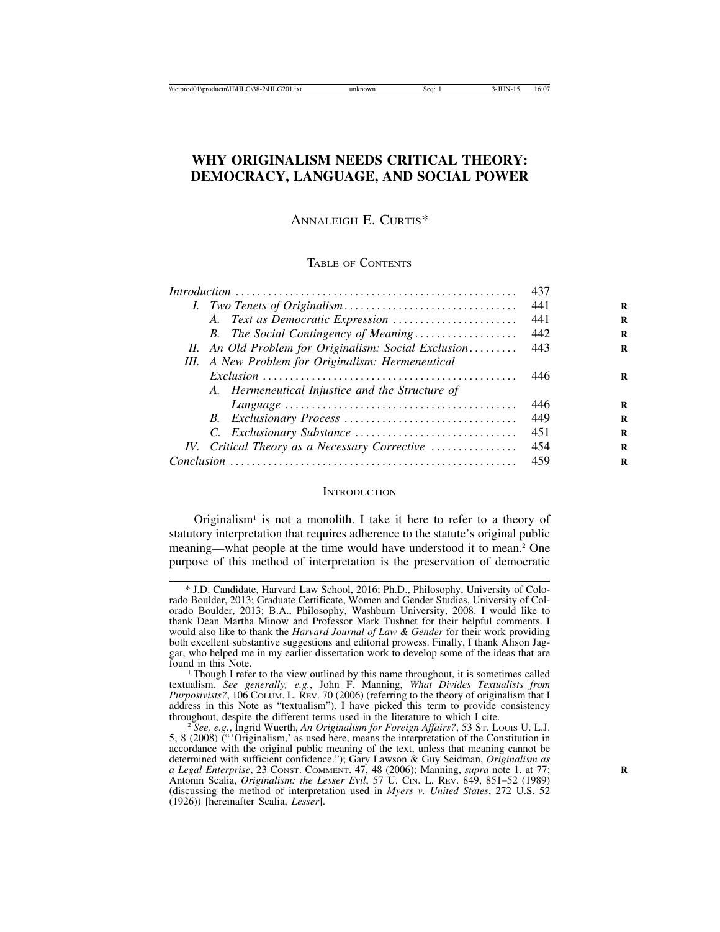# **WHY ORIGINALISM NEEDS CRITICAL THEORY: DEMOCRACY, LANGUAGE, AND SOCIAL POWER**

ANNALEIGH E. CURTIS\*

## TABLE OF CONTENTS

|                                                                                                      | 437 |
|------------------------------------------------------------------------------------------------------|-----|
|                                                                                                      | 441 |
|                                                                                                      | 441 |
| B. The Social Contingency of Meaning                                                                 | 442 |
| II. An Old Problem for Originalism: Social Exclusion                                                 | 443 |
| III. A New Problem for Originalism: Hermeneutical                                                    |     |
|                                                                                                      | 446 |
| A. Hermeneutical Injustice and the Structure of                                                      |     |
| $Language \dots \dots \dots \dots \dots \dots \dots \dots \dots \dots \dots \dots \dots \dots \dots$ | 446 |
|                                                                                                      | 449 |
|                                                                                                      | 451 |
| IV. Critical Theory as a Necessary Corrective                                                        | 454 |
| Conclusion                                                                                           | 459 |
|                                                                                                      |     |

#### **INTRODUCTION**

 $O$ riginalism<sup>1</sup> is not a monolith. I take it here to refer to a theory of statutory interpretation that requires adherence to the statute's original public meaning—what people at the time would have understood it to mean.2 One purpose of this method of interpretation is the preservation of democratic

<sup>\*</sup> J.D. Candidate, Harvard Law School, 2016; Ph.D., Philosophy, University of Colorado Boulder, 2013; Graduate Certificate, Women and Gender Studies, University of Colorado Boulder, 2013; B.A., Philosophy, Washburn University, 2008. I would like to thank Dean Martha Minow and Professor Mark Tushnet for their helpful comments. I would also like to thank the *Harvard Journal of Law & Gender* for their work providing both excellent substantive suggestions and editorial prowess. Finally, I thank Alison Jaggar, who helped me in my earlier dissertation work to develop some of the ideas that are

 $<sup>1</sup>$  Though I refer to the view outlined by this name throughout, it is sometimes called</sup> textualism. *See generally, e.g.*, John F. Manning, *What Divides Textualists from Purposivists?*, 106 COLUM. L. REV. 70 (2006) (referring to the theory of originalism that I address in this Note as "textualism"). I have picked this term to provide consistency

<sup>&</sup>lt;sup>2</sup> See, e.g., Ingrid Wuerth, *An Originalism for Foreign Affairs*?, 53 St. Louis U. L.J. 5, 8 (2008) ("'Originalism,' as used here, means the interpretation of the Constitution in accordance with the original public meaning of the text, unless that meaning cannot be determined with sufficient confidence."); Gary Lawson & Guy Seidman, *Originalism as a Legal Enterprise*, 23 CONST. COMMENT. 47, 48 (2006); Manning, *supra* note 1, at 77; **R** Antonin Scalia, *Originalism: the Lesser Evil*, 57 U. CIN. L. REV. 849, 851–52 (1989) (discussing the method of interpretation used in *Myers v. United States*, 272 U.S. 52 (1926)) [hereinafter Scalia, *Lesser*].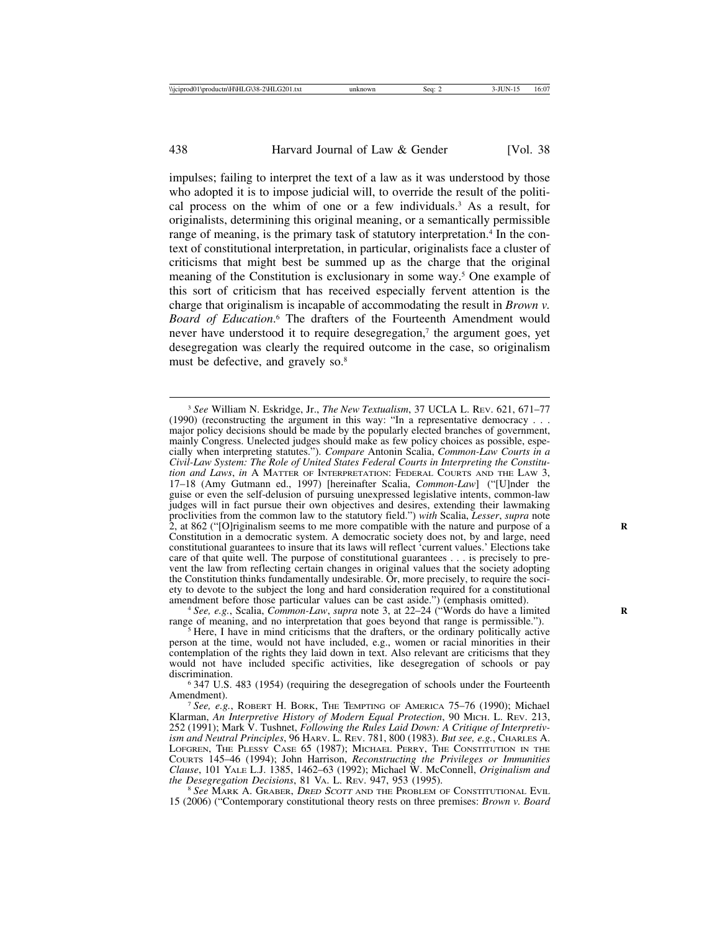impulses; failing to interpret the text of a law as it was understood by those who adopted it is to impose judicial will, to override the result of the political process on the whim of one or a few individuals.<sup>3</sup> As a result, for originalists, determining this original meaning, or a semantically permissible range of meaning, is the primary task of statutory interpretation.<sup>4</sup> In the context of constitutional interpretation, in particular, originalists face a cluster of criticisms that might best be summed up as the charge that the original meaning of the Constitution is exclusionary in some way.5 One example of this sort of criticism that has received especially fervent attention is the charge that originalism is incapable of accommodating the result in *Brown v. Board of Education*. 6 The drafters of the Fourteenth Amendment would never have understood it to require desegregation,<sup>7</sup> the argument goes, yet desegregation was clearly the required outcome in the case, so originalism must be defective, and gravely so.<sup>8</sup>

<sup>4</sup> *See, e.g.*, Scalia, *Common-Law, supra* note 3, at 22–24 ("Words do have a limited range of meaning, and no interpretation that goes beyond that range is permissible.").

Here, I have in mind criticisms that the drafters, or the ordinary politically active. person at the time, would not have included, e.g., women or racial minorities in their contemplation of the rights they laid down in text. Also relevant are criticisms that they would not have included specific activities, like desegregation of schools or pay discrimination. <sup>6</sup> 347 U.S. 483 (1954) (requiring the desegregation of schools under the Fourteenth

Amendment).<br><sup>7</sup> *See, e.g.*, ROBERT H. BORK, THE TEMPTING OF AMERICA 75–76 (1990); Michael

Klarman, *An Interpretive History of Modern Equal Protection*, 90 MICH. L. REV. 213, 252 (1991); Mark V. Tushnet, *Following the Rules Laid Down: A Critique of Interpretivism and Neutral Principles*, 96 HARV. L. REV. 781, 800 (1983). *But see, e.g.*, CHARLES A. LOFGREN, THE PLESSY CASE 65 (1987); MICHAEL PERRY, THE CONSTITUTION IN THE COURTS 145–46 (1994); John Harrison, *Reconstructing the Privileges or Immunities Clause*, 101 YALE L.J. 1385, 1462–63 (1992); Michael W. McConnell, *Originalism and*

<sup>8</sup> See MARK A. GRABER, *DRED SCOTT* AND THE PROBLEM OF CONSTITUTIONAL EVIL 15 (2006) ("Contemporary constitutional theory rests on three premises: *Brown v. Board*

<sup>3</sup> *See* William N. Eskridge, Jr., *The New Textualism*, 37 UCLA L. REV. 621, 671–77 (1990) (reconstructing the argument in this way: "In a representative democracy . . . major policy decisions should be made by the popularly elected branches of government, mainly Congress. Unelected judges should make as few policy choices as possible, especially when interpreting statutes."). *Compare* Antonin Scalia, *Common-Law Courts in a Civil-Law System: The Role of United States Federal Courts in Interpreting the Constitution and Laws*, *in* A MATTER OF INTERPRETATION: FEDERAL COURTS AND THE LAW 3, 17–18 (Amy Gutmann ed., 1997) [hereinafter Scalia, *Common-Law*] ("[U]nder the guise or even the self-delusion of pursuing unexpressed legislative intents, common-law judges will in fact pursue their own objectives and desires, extending their lawmaking proclivities from the common law to the statutory field.") *with* Scalia, *Lesser*, *supra* note 2, at 862 ("[O]riginalism seems to me more compatible with the nature and purpose of a **R** Constitution in a democratic system. A democratic society does not, by and large, need constitutional guarantees to insure that its laws will reflect 'current values.' Elections take care of that quite well. The purpose of constitutional guarantees . . . is precisely to prevent the law from reflecting certain changes in original values that the society adopting the Constitution thinks fundamentally undesirable. Or, more precisely, to require the society to devote to the subject the long and hard consideration required for a constitutional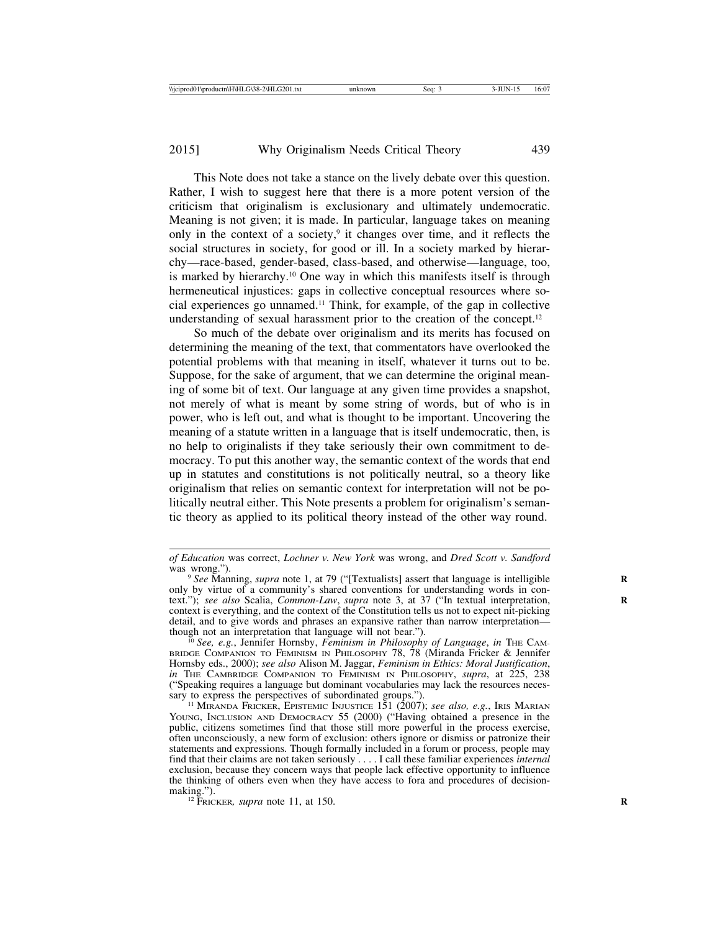This Note does not take a stance on the lively debate over this question. Rather, I wish to suggest here that there is a more potent version of the criticism that originalism is exclusionary and ultimately undemocratic. Meaning is not given; it is made. In particular, language takes on meaning only in the context of a society, $9$  it changes over time, and it reflects the social structures in society, for good or ill. In a society marked by hierarchy—race-based, gender-based, class-based, and otherwise—language, too, is marked by hierarchy.<sup>10</sup> One way in which this manifests itself is through hermeneutical injustices: gaps in collective conceptual resources where social experiences go unnamed.11 Think, for example, of the gap in collective understanding of sexual harassment prior to the creation of the concept.<sup>12</sup>

So much of the debate over originalism and its merits has focused on determining the meaning of the text, that commentators have overlooked the potential problems with that meaning in itself, whatever it turns out to be. Suppose, for the sake of argument, that we can determine the original meaning of some bit of text. Our language at any given time provides a snapshot, not merely of what is meant by some string of words, but of who is in power, who is left out, and what is thought to be important. Uncovering the meaning of a statute written in a language that is itself undemocratic, then, is no help to originalists if they take seriously their own commitment to democracy. To put this another way, the semantic context of the words that end up in statutes and constitutions is not politically neutral, so a theory like originalism that relies on semantic context for interpretation will not be politically neutral either. This Note presents a problem for originalism's semantic theory as applied to its political theory instead of the other way round.

*of Education* was correct, *Lochner v. New York* was wrong, and *Dred Scott v. Sandford*

<sup>&</sup>lt;sup>9</sup> See Manning, *supra* note 1, at 79 ("[Textualists] assert that language is intelligible only by virtue of a community's shared conventions for understanding words in context."); *see also* Scalia, *Common-Law*, *supra* note 3, at 37 ("In textual interpretation, **R** context is everything, and the context of the Constitution tells us not to expect nit-picking detail, and to give words and phrases an expansive rather than narrow interpretation though not an interpretation that language will not bear.").<br><sup>10</sup> See, e.g., Jennifer Hornsby, *Feminism in Philosophy of Language*, *in* THE CAM-

BRIDGE COMPANION TO FEMINISM IN PHILOSOPHY 78, 78 (Miranda Fricker & Jennifer Hornsby eds., 2000); *see also* Alison M. Jaggar, *Feminism in Ethics: Moral Justification*, *in* THE CAMBRIDGE COMPANION TO FEMINISM IN PHILOSOPHY, *supra*, at 225, 238 ("Speaking requires a language but dominant vocabularies may lack the resources neces-

 $11$  MIRANDA FRICKER, EPISTEMIC INJUSTICE 151 (2007); *see also, e.g.*, IRIS MARIAN YOUNG, INCLUSION AND DEMOCRACY 55 (2000) ("Having obtained a presence in the public, citizens sometimes find that those still more powerful in the process exercise, often unconsciously, a new form of exclusion: others ignore or dismiss or patronize their statements and expressions. Though formally included in a forum or process, people may find that their claims are not taken seriously . . . . I call these familiar experiences *internal* exclusion, because they concern ways that people lack effective opportunity to influence the thinking of others even when they have access to fora and procedures of decisionmaking.").<br><sup>12</sup> FRICKER, *supra* note 11, at 150.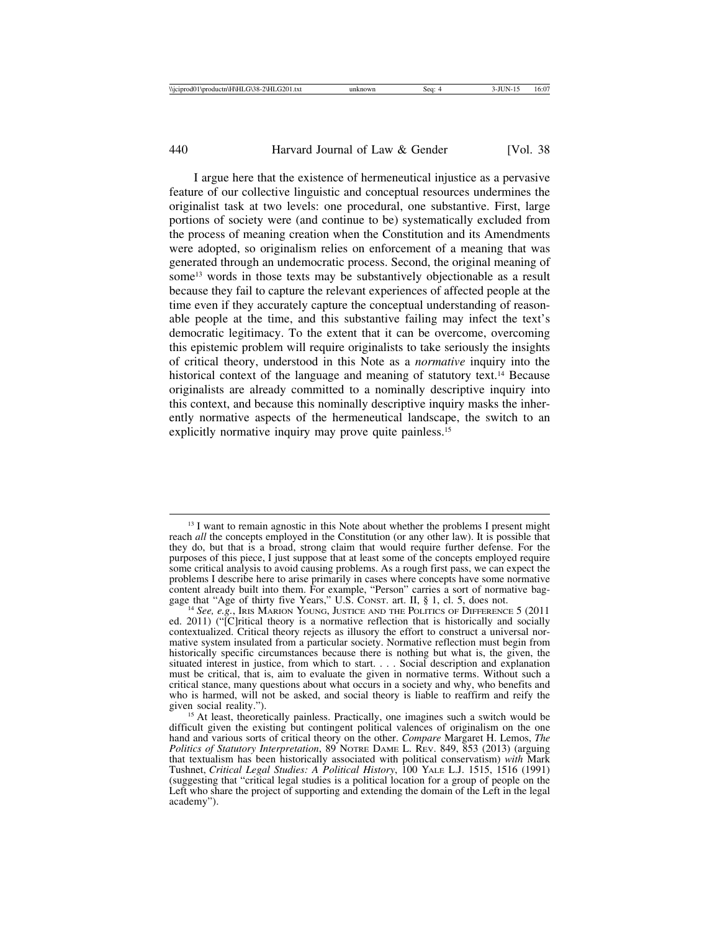I argue here that the existence of hermeneutical injustice as a pervasive feature of our collective linguistic and conceptual resources undermines the originalist task at two levels: one procedural, one substantive. First, large portions of society were (and continue to be) systematically excluded from the process of meaning creation when the Constitution and its Amendments were adopted, so originalism relies on enforcement of a meaning that was generated through an undemocratic process. Second, the original meaning of some<sup>13</sup> words in those texts may be substantively objectionable as a result because they fail to capture the relevant experiences of affected people at the time even if they accurately capture the conceptual understanding of reasonable people at the time, and this substantive failing may infect the text's democratic legitimacy. To the extent that it can be overcome, overcoming this epistemic problem will require originalists to take seriously the insights of critical theory, understood in this Note as a *normative* inquiry into the historical context of the language and meaning of statutory text.<sup>14</sup> Because originalists are already committed to a nominally descriptive inquiry into this context, and because this nominally descriptive inquiry masks the inherently normative aspects of the hermeneutical landscape, the switch to an explicitly normative inquiry may prove quite painless.<sup>15</sup>

<sup>&</sup>lt;sup>13</sup> I want to remain agnostic in this Note about whether the problems I present might reach *all* the concepts employed in the Constitution (or any other law). It is possible that they do, but that is a broad, strong claim that would require further defense. For the purposes of this piece, I just suppose that at least some of the concepts employed require some critical analysis to avoid causing problems. As a rough first pass, we can expect the problems I describe here to arise primarily in cases where concepts have some normative content already built into them. For example, "Person" carries a sort of normative baggage that "Age of thirty five Years," U.S. CONST. art. II, § 1, cl. 5, does not. <sup>14</sup> *See, e.g.*, IRIS MARION YOUNG, JUSTICE AND THE POLITICS OF DIFFERENCE 5 (2011)

ed. 2011) ("[C]ritical theory is a normative reflection that is historically and socially contextualized. Critical theory rejects as illusory the effort to construct a universal normative system insulated from a particular society. Normative reflection must begin from historically specific circumstances because there is nothing but what is, the given, the situated interest in justice, from which to start. . . . Social description and explanation must be critical, that is, aim to evaluate the given in normative terms. Without such a critical stance, many questions about what occurs in a society and why, who benefits and who is harmed, will not be asked, and social theory is liable to reaffirm and reify the given social reality.").

<sup>&</sup>lt;sup>15</sup> At least, theoretically painless. Practically, one imagines such a switch would be difficult given the existing but contingent political valences of originalism on the one hand and various sorts of critical theory on the other. *Compare* Margaret H. Lemos, *The Politics of Statutory Interpretation*, 89 NOTRE DAME L. REV. 849, 853 (2013) (arguing that textualism has been historically associated with political conservatism) *with* Mark Tushnet, *Critical Legal Studies: A Political History*, 100 YALE L.J. 1515, 1516 (1991) (suggesting that "critical legal studies is a political location for a group of people on the Left who share the project of supporting and extending the domain of the Left in the legal academy").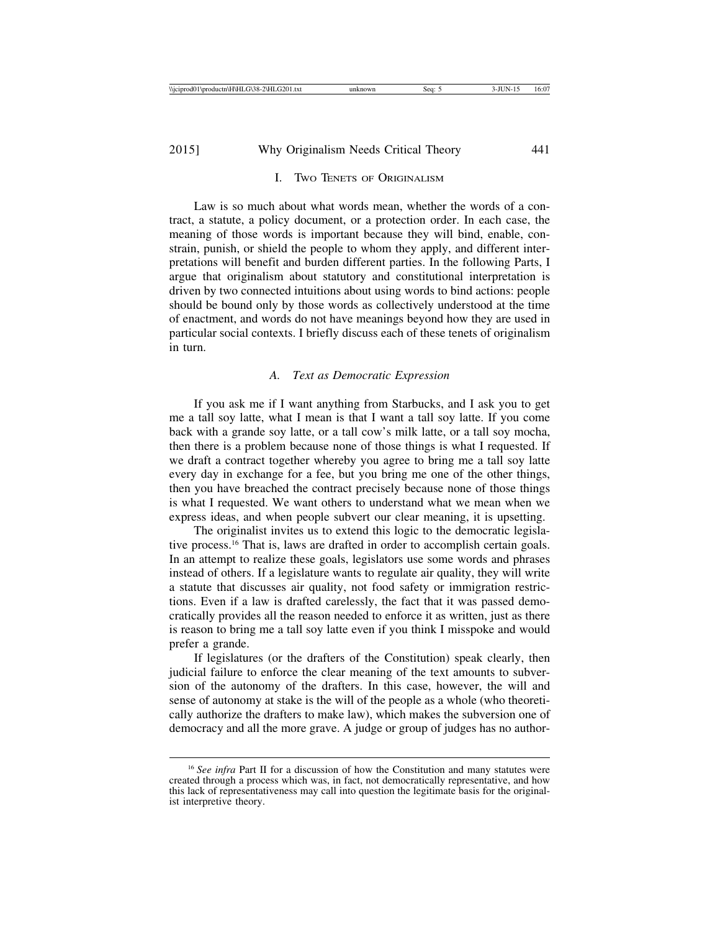#### I. TWO TENETS OF ORIGINALISM

Law is so much about what words mean, whether the words of a contract, a statute, a policy document, or a protection order. In each case, the meaning of those words is important because they will bind, enable, constrain, punish, or shield the people to whom they apply, and different interpretations will benefit and burden different parties. In the following Parts, I argue that originalism about statutory and constitutional interpretation is driven by two connected intuitions about using words to bind actions: people should be bound only by those words as collectively understood at the time of enactment, and words do not have meanings beyond how they are used in particular social contexts. I briefly discuss each of these tenets of originalism in turn.

#### *A. Text as Democratic Expression*

If you ask me if I want anything from Starbucks, and I ask you to get me a tall soy latte, what I mean is that I want a tall soy latte. If you come back with a grande soy latte, or a tall cow's milk latte, or a tall soy mocha, then there is a problem because none of those things is what I requested. If we draft a contract together whereby you agree to bring me a tall soy latte every day in exchange for a fee, but you bring me one of the other things, then you have breached the contract precisely because none of those things is what I requested. We want others to understand what we mean when we express ideas, and when people subvert our clear meaning, it is upsetting.

The originalist invites us to extend this logic to the democratic legislative process.16 That is, laws are drafted in order to accomplish certain goals. In an attempt to realize these goals, legislators use some words and phrases instead of others. If a legislature wants to regulate air quality, they will write a statute that discusses air quality, not food safety or immigration restrictions. Even if a law is drafted carelessly, the fact that it was passed democratically provides all the reason needed to enforce it as written, just as there is reason to bring me a tall soy latte even if you think I misspoke and would prefer a grande.

If legislatures (or the drafters of the Constitution) speak clearly, then judicial failure to enforce the clear meaning of the text amounts to subversion of the autonomy of the drafters. In this case, however, the will and sense of autonomy at stake is the will of the people as a whole (who theoretically authorize the drafters to make law), which makes the subversion one of democracy and all the more grave. A judge or group of judges has no author-

<sup>&</sup>lt;sup>16</sup> See infra Part II for a discussion of how the Constitution and many statutes were created through a process which was, in fact, not democratically representative, and how this lack of representativeness may call into question the legitimate basis for the originalist interpretive theory.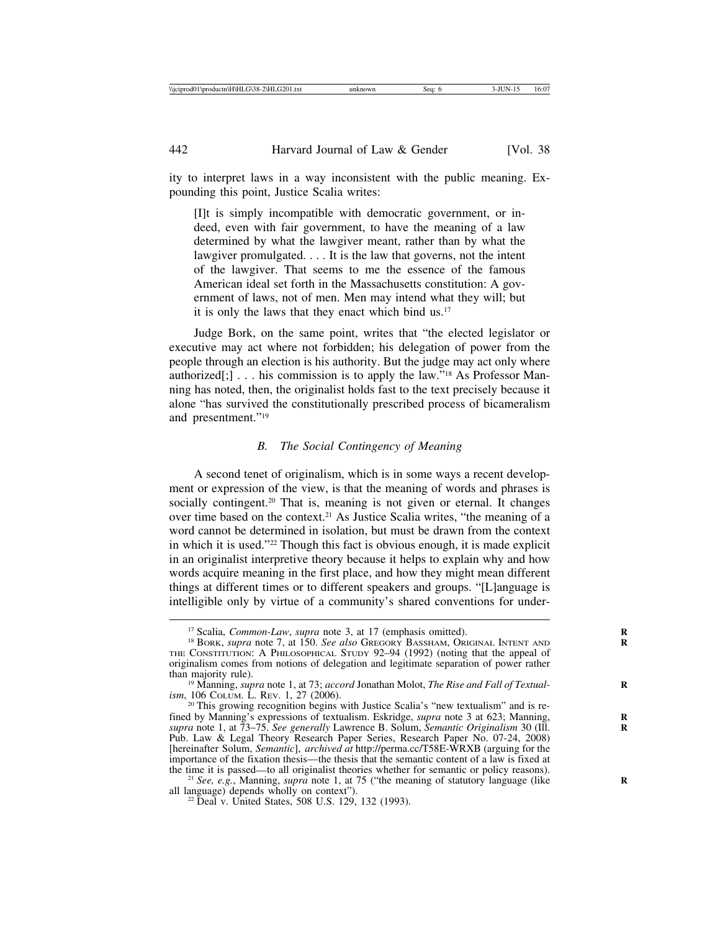ity to interpret laws in a way inconsistent with the public meaning. Expounding this point, Justice Scalia writes:

[I]t is simply incompatible with democratic government, or indeed, even with fair government, to have the meaning of a law determined by what the lawgiver meant, rather than by what the lawgiver promulgated. . . . It is the law that governs, not the intent of the lawgiver. That seems to me the essence of the famous American ideal set forth in the Massachusetts constitution: A government of laws, not of men. Men may intend what they will; but it is only the laws that they enact which bind us.17

Judge Bork, on the same point, writes that "the elected legislator or executive may act where not forbidden; his delegation of power from the people through an election is his authority. But the judge may act only where authorized[;]  $\ldots$  his commission is to apply the law."<sup>18</sup> As Professor Manning has noted, then, the originalist holds fast to the text precisely because it alone "has survived the constitutionally prescribed process of bicameralism and presentment."19

### *B. The Social Contingency of Meaning*

A second tenet of originalism, which is in some ways a recent development or expression of the view, is that the meaning of words and phrases is socially contingent.<sup>20</sup> That is, meaning is not given or eternal. It changes over time based on the context.21 As Justice Scalia writes, "the meaning of a word cannot be determined in isolation, but must be drawn from the context in which it is used."22 Though this fact is obvious enough, it is made explicit in an originalist interpretive theory because it helps to explain why and how words acquire meaning in the first place, and how they might mean different things at different times or to different speakers and groups. "[L]anguage is intelligible only by virtue of a community's shared conventions for under-

<sup>&</sup>lt;sup>17</sup> Scalia, *Common-Law*, *supra* note 3, at 17 (emphasis omitted).<br><sup>18</sup> BORK, *supra* note 7, at 150. *See also* GREGORY BASSHAM, ORIGINAL INTENT AND THE CONSTITUTION: A PHILOSOPHICAL STUDY 92–94 (1992) (noting that the appeal of originalism comes from notions of delegation and legitimate separation of power rather

than majority rule).<br><sup>19</sup> Manning, *supra* note 1, at 73; *accord* Jonathan Molot, *The Rise and Fall of Textual- ism*, 106 COLUM. L. REV. 1, 27 (2006).

<sup>&</sup>lt;sup>20</sup> This growing recognition begins with Justice Scalia's "new textualism" and is refined by Manning's expressions of textualism. Eskridge, *supra* note 3 at 623; Manning, *supra* note 1, at 73–75. *See generally* Lawrence B. Solum, *Semantic Originalism* 30 (Ill. **R** Pub. Law & Legal Theory Research Paper Series, Research Paper No. 07-24, 2008) [hereinafter Solum, *Semantic*], *archived at* http://perma.cc/T58E-WRXB (arguing for the importance of the fixation thesis—the thesis that the semantic content of a law is fixed at the time it is passed—to all originalist theories whether for semantic or policy reasons).

<sup>&</sup>lt;sup>21</sup> *See, e.g.*, Manning, *supra* note 1, at 75 ("the meaning of statutory language (like all language) depends wholly on context").

 $22$  Deal v. United States, 508 U.S. 129, 132 (1993).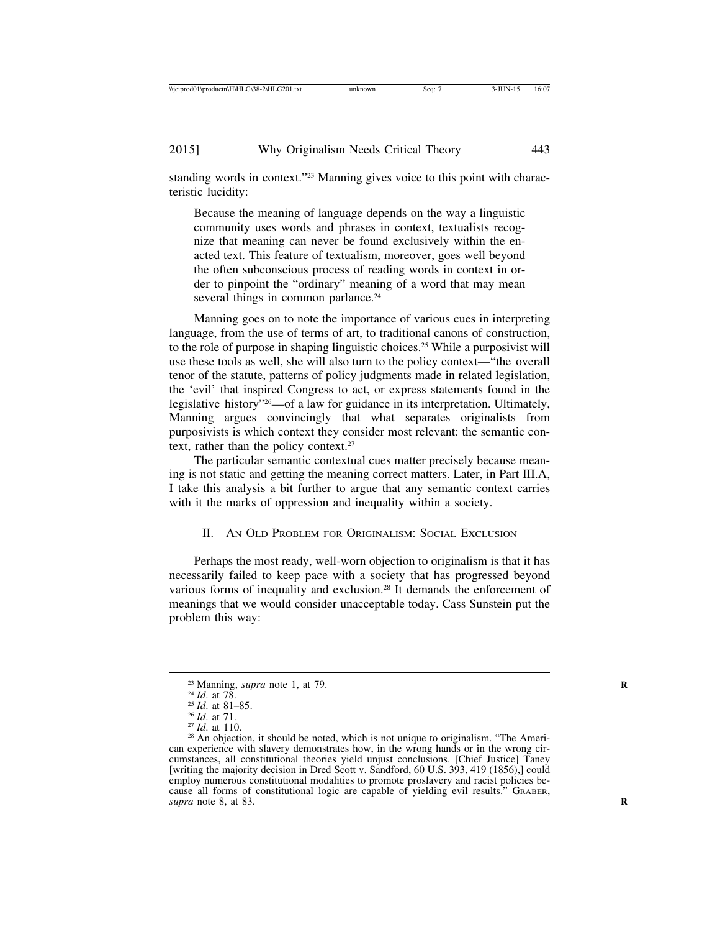standing words in context."23 Manning gives voice to this point with characteristic lucidity:

Because the meaning of language depends on the way a linguistic community uses words and phrases in context, textualists recognize that meaning can never be found exclusively within the enacted text. This feature of textualism, moreover, goes well beyond the often subconscious process of reading words in context in order to pinpoint the "ordinary" meaning of a word that may mean several things in common parlance.<sup>24</sup>

Manning goes on to note the importance of various cues in interpreting language, from the use of terms of art, to traditional canons of construction, to the role of purpose in shaping linguistic choices.25 While a purposivist will use these tools as well, she will also turn to the policy context—"the overall tenor of the statute, patterns of policy judgments made in related legislation, the 'evil' that inspired Congress to act, or express statements found in the legislative history"26—of a law for guidance in its interpretation. Ultimately, Manning argues convincingly that what separates originalists from purposivists is which context they consider most relevant: the semantic context, rather than the policy context.27

The particular semantic contextual cues matter precisely because meaning is not static and getting the meaning correct matters. Later, in Part III.A, I take this analysis a bit further to argue that any semantic context carries with it the marks of oppression and inequality within a society.

### II. AN OLD PROBLEM FOR ORIGINALISM: SOCIAL EXCLUSION

Perhaps the most ready, well-worn objection to originalism is that it has necessarily failed to keep pace with a society that has progressed beyond various forms of inequality and exclusion.28 It demands the enforcement of meanings that we would consider unacceptable today. Cass Sunstein put the problem this way:

<sup>&</sup>lt;sup>23</sup> Manning, *supra* note 1, at 79.<br><sup>24</sup> *Id*. at 78.<br><sup>25</sup> *Id*. at 81–85.<br><sup>26</sup> *Id*. at 110.<br><sup>27</sup> *Id*. at 110.<br><sup>28</sup> An objection, it should be noted, which is not unique to originalism. "The American experience with slavery demonstrates how, in the wrong hands or in the wrong circumstances, all constitutional theories yield unjust conclusions. [Chief Justice] Taney [writing the majority decision in Dred Scott v. Sandford, 60 U.S. 393, 419 (1856),] could employ numerous constitutional modalities to promote proslavery and racist policies because all forms of constitutional logic are capable of yielding evil results." GRABER, *supra* note 8, at 83. **R**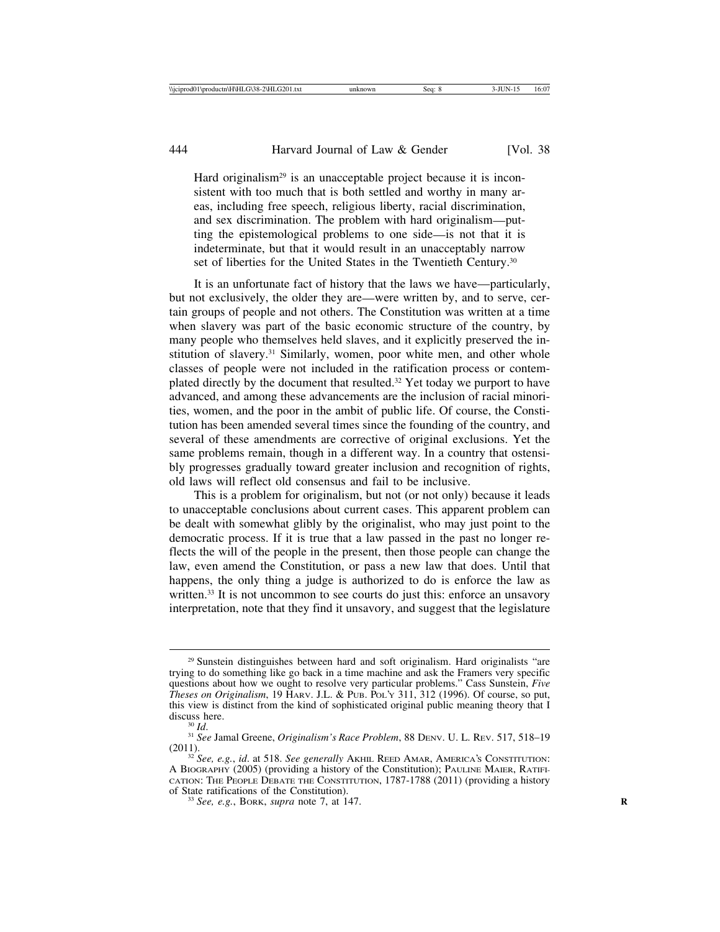Hard originalism<sup>29</sup> is an unacceptable project because it is inconsistent with too much that is both settled and worthy in many areas, including free speech, religious liberty, racial discrimination, and sex discrimination. The problem with hard originalism—putting the epistemological problems to one side—is not that it is indeterminate, but that it would result in an unacceptably narrow set of liberties for the United States in the Twentieth Century.<sup>30</sup>

It is an unfortunate fact of history that the laws we have—particularly, but not exclusively, the older they are—were written by, and to serve, certain groups of people and not others. The Constitution was written at a time when slavery was part of the basic economic structure of the country, by many people who themselves held slaves, and it explicitly preserved the institution of slavery.<sup>31</sup> Similarly, women, poor white men, and other whole classes of people were not included in the ratification process or contemplated directly by the document that resulted.32 Yet today we purport to have advanced, and among these advancements are the inclusion of racial minorities, women, and the poor in the ambit of public life. Of course, the Constitution has been amended several times since the founding of the country, and several of these amendments are corrective of original exclusions. Yet the same problems remain, though in a different way. In a country that ostensibly progresses gradually toward greater inclusion and recognition of rights, old laws will reflect old consensus and fail to be inclusive.

This is a problem for originalism, but not (or not only) because it leads to unacceptable conclusions about current cases. This apparent problem can be dealt with somewhat glibly by the originalist, who may just point to the democratic process. If it is true that a law passed in the past no longer reflects the will of the people in the present, then those people can change the law, even amend the Constitution, or pass a new law that does. Until that happens, the only thing a judge is authorized to do is enforce the law as written.<sup>33</sup> It is not uncommon to see courts do just this: enforce an unsavory interpretation, note that they find it unsavory, and suggest that the legislature

<sup>29</sup> Sunstein distinguishes between hard and soft originalism. Hard originalists "are trying to do something like go back in a time machine and ask the Framers very specific questions about how we ought to resolve very particular problems." Cass Sunstein, *Five Theses on Originalism*, 19 HARV. J.L. & PUB. POL'Y 311, 312 (1996). Of course, so put, this view is distinct from the kind of sophisticated original public meaning theory that I

<sup>&</sup>lt;sup>30</sup> *Id. Id.* 31 *See* Jamal Greene, *Originalism's Race Problem*, 88 DENV. U. L. REV. 517, 518–19

<sup>(2011).</sup> <sup>32</sup> *See, e.g.*, *id*. at 518. *See generally* AKHIL REED AMAR, AMERICA'S CONSTITUTION: A BIOGRAPHY (2005) (providing a history of the Constitution); PAULINE MAIER, RATIFI-CATION: THE PEOPLE DEBATE THE CONSTITUTION, 1787-1788 (2011) (providing a history of State ratifications of the Constitution).

<sup>&</sup>lt;sup>33</sup> *See, e.g.*, BORK, *supra* note 7, at 147.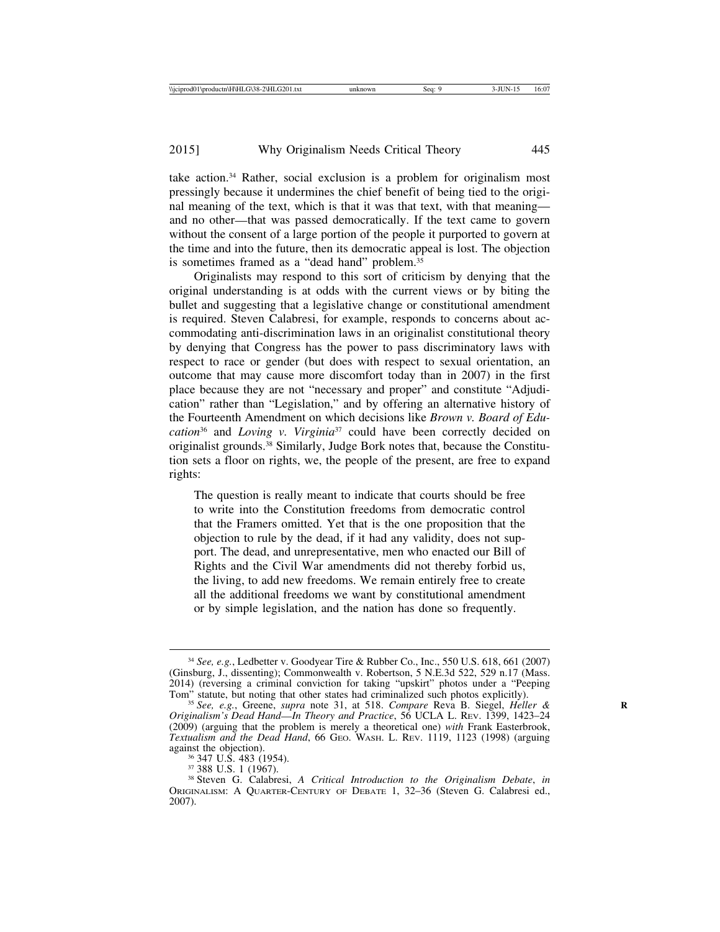take action.34 Rather, social exclusion is a problem for originalism most pressingly because it undermines the chief benefit of being tied to the original meaning of the text, which is that it was that text, with that meaning and no other—that was passed democratically. If the text came to govern without the consent of a large portion of the people it purported to govern at the time and into the future, then its democratic appeal is lost. The objection is sometimes framed as a "dead hand" problem.<sup>35</sup>

Originalists may respond to this sort of criticism by denying that the original understanding is at odds with the current views or by biting the bullet and suggesting that a legislative change or constitutional amendment is required. Steven Calabresi, for example, responds to concerns about accommodating anti-discrimination laws in an originalist constitutional theory by denying that Congress has the power to pass discriminatory laws with respect to race or gender (but does with respect to sexual orientation, an outcome that may cause more discomfort today than in 2007) in the first place because they are not "necessary and proper" and constitute "Adjudication" rather than "Legislation," and by offering an alternative history of the Fourteenth Amendment on which decisions like *Brown v. Board of Education*36 and *Loving v. Virginia*37 could have been correctly decided on originalist grounds.38 Similarly, Judge Bork notes that, because the Constitution sets a floor on rights, we, the people of the present, are free to expand rights:

The question is really meant to indicate that courts should be free to write into the Constitution freedoms from democratic control that the Framers omitted. Yet that is the one proposition that the objection to rule by the dead, if it had any validity, does not support. The dead, and unrepresentative, men who enacted our Bill of Rights and the Civil War amendments did not thereby forbid us, the living, to add new freedoms. We remain entirely free to create all the additional freedoms we want by constitutional amendment or by simple legislation, and the nation has done so frequently.

<sup>34</sup> *See, e.g.*, Ledbetter v. Goodyear Tire & Rubber Co., Inc., 550 U.S. 618, 661 (2007) (Ginsburg, J., dissenting); Commonwealth v. Robertson, 5 N.E.3d 522, 529 n.17 (Mass. 2014) (reversing a criminal conviction for taking "upskirt" photos under a "Peeping

<sup>&</sup>lt;sup>35</sup> See, e.g., Greene, *supra* note 31, at 518. *Compare* Reva B. Siegel, *Heller & Originalism's Dead Hand*—*In Theory and Practice*, 56 UCLA L. REV. 1399, 1423–24 (2009) (arguing that the problem is merely a theoretical one) *with* Frank Easterbrook, *Textualism and the Dead Hand*, 66 GEO. WASH. L. REV. 1119, 1123 (1998) (arguing against the objection).

<sup>&</sup>lt;sup>36</sup> 347 U.S. 483 (1954).<br><sup>37</sup> 388 U.S. 1 (1967).<br><sup>38</sup> Steven G. Calabresi, *A Critical Introduction to the Originalism Debate, in* ORIGINALISM: A QUARTER-CENTURY OF DEBATE 1, 32–36 (Steven G. Calabresi ed., 2007).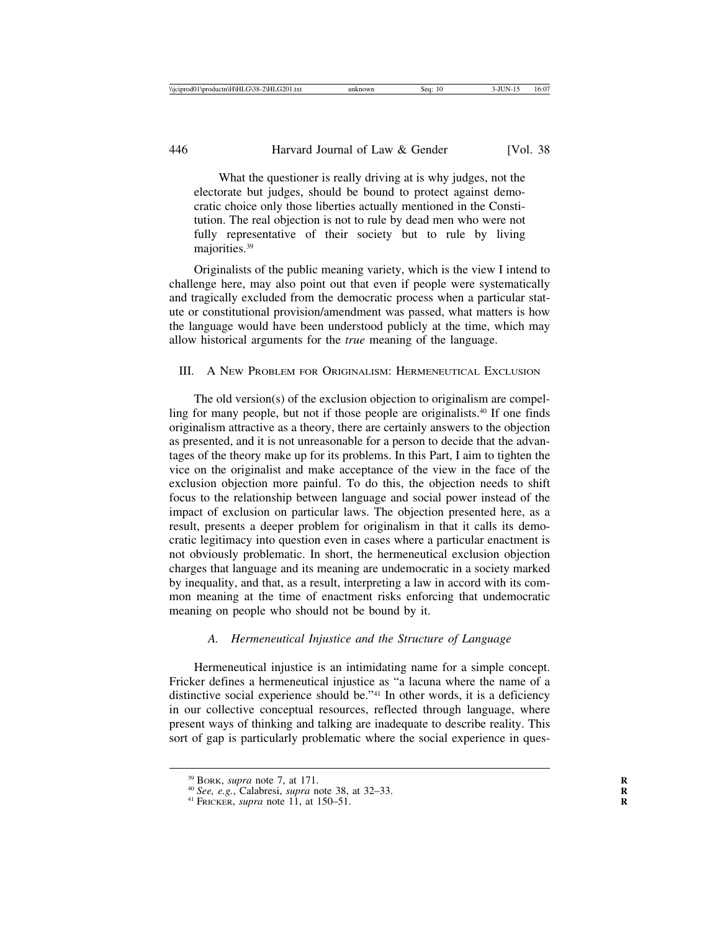What the questioner is really driving at is why judges, not the electorate but judges, should be bound to protect against democratic choice only those liberties actually mentioned in the Constitution. The real objection is not to rule by dead men who were not fully representative of their society but to rule by living majorities.<sup>39</sup>

Originalists of the public meaning variety, which is the view I intend to challenge here, may also point out that even if people were systematically and tragically excluded from the democratic process when a particular statute or constitutional provision/amendment was passed, what matters is how the language would have been understood publicly at the time, which may allow historical arguments for the *true* meaning of the language.

### III. A NEW PROBLEM FOR ORIGINALISM: HERMENEUTICAL EXCLUSION

The old version(s) of the exclusion objection to originalism are compelling for many people, but not if those people are originalists.40 If one finds originalism attractive as a theory, there are certainly answers to the objection as presented, and it is not unreasonable for a person to decide that the advantages of the theory make up for its problems. In this Part, I aim to tighten the vice on the originalist and make acceptance of the view in the face of the exclusion objection more painful. To do this, the objection needs to shift focus to the relationship between language and social power instead of the impact of exclusion on particular laws. The objection presented here, as a result, presents a deeper problem for originalism in that it calls its democratic legitimacy into question even in cases where a particular enactment is not obviously problematic. In short, the hermeneutical exclusion objection charges that language and its meaning are undemocratic in a society marked by inequality, and that, as a result, interpreting a law in accord with its common meaning at the time of enactment risks enforcing that undemocratic meaning on people who should not be bound by it.

#### *A. Hermeneutical Injustice and the Structure of Language*

Hermeneutical injustice is an intimidating name for a simple concept. Fricker defines a hermeneutical injustice as "a lacuna where the name of a distinctive social experience should be."41 In other words, it is a deficiency in our collective conceptual resources, reflected through language, where present ways of thinking and talking are inadequate to describe reality. This sort of gap is particularly problematic where the social experience in ques-

<sup>&</sup>lt;sup>39</sup> BORK, *supra* note 7, at 171.<br><sup>40</sup> *See, e.g.*, Calabresi, *supra* note 38, at 32–33.<br><sup>41</sup> FRICKER, *supra* note 11, at 150–51.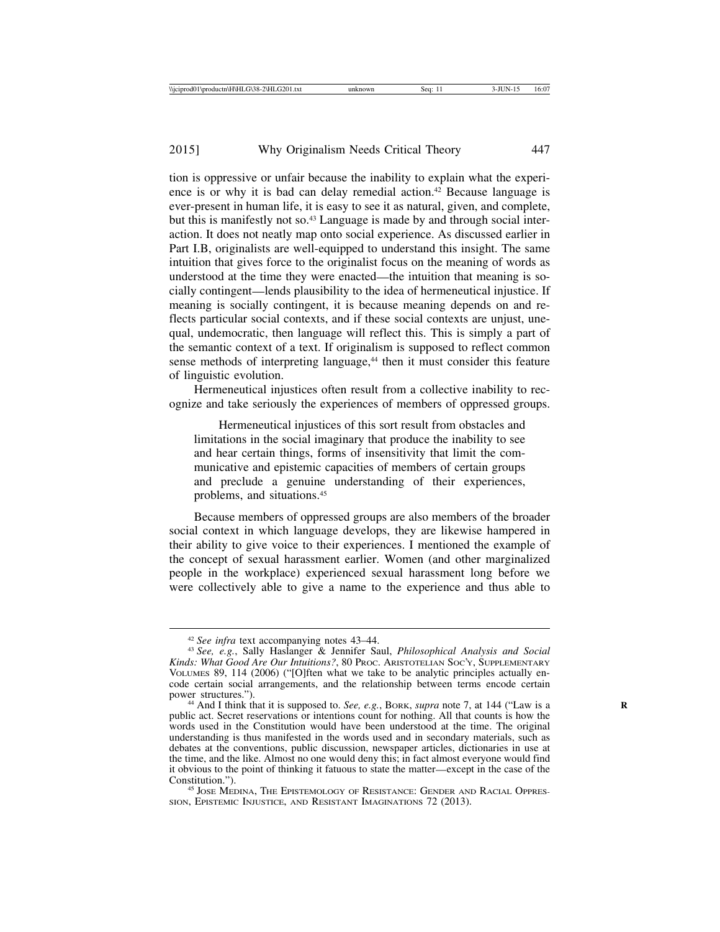tion is oppressive or unfair because the inability to explain what the experience is or why it is bad can delay remedial action.<sup>42</sup> Because language is ever-present in human life, it is easy to see it as natural, given, and complete, but this is manifestly not so.43 Language is made by and through social interaction. It does not neatly map onto social experience. As discussed earlier in Part I.B, originalists are well-equipped to understand this insight. The same intuition that gives force to the originalist focus on the meaning of words as understood at the time they were enacted—the intuition that meaning is socially contingent—lends plausibility to the idea of hermeneutical injustice. If meaning is socially contingent, it is because meaning depends on and reflects particular social contexts, and if these social contexts are unjust, unequal, undemocratic, then language will reflect this. This is simply a part of the semantic context of a text. If originalism is supposed to reflect common sense methods of interpreting language,<sup>44</sup> then it must consider this feature of linguistic evolution.

Hermeneutical injustices often result from a collective inability to recognize and take seriously the experiences of members of oppressed groups.

Hermeneutical injustices of this sort result from obstacles and limitations in the social imaginary that produce the inability to see and hear certain things, forms of insensitivity that limit the communicative and epistemic capacities of members of certain groups and preclude a genuine understanding of their experiences, problems, and situations.45

Because members of oppressed groups are also members of the broader social context in which language develops, they are likewise hampered in their ability to give voice to their experiences. I mentioned the example of the concept of sexual harassment earlier. Women (and other marginalized people in the workplace) experienced sexual harassment long before we were collectively able to give a name to the experience and thus able to

<sup>42</sup> *See infra* text accompanying notes 43–44. <sup>43</sup> *See, e.g.*, Sally Haslanger & Jennifer Saul, *Philosophical Analysis and Social Kinds: What Good Are Our Intuitions?*, 80 PROC. ARISTOTELIAN SOC'Y, SUPPLEMENTARY VOLUMES 89, 114 (2006) ("[O]ften what we take to be analytic principles actually encode certain social arrangements, and the relationship between terms encode certain

power structures."). <sup>44</sup> And I think that it is supposed to. *See, e.g.*, BORK, *supra* note 7, at 144 ("Law is a **R** public act. Secret reservations or intentions count for nothing. All that counts is how the words used in the Constitution would have been understood at the time. The original understanding is thus manifested in the words used and in secondary materials, such as debates at the conventions, public discussion, newspaper articles, dictionaries in use at the time, and the like. Almost no one would deny this; in fact almost everyone would find it obvious to the point of thinking it fatuous to state the matter—except in the case of the

<sup>&</sup>lt;sup>45</sup> JOSE MEDINA, THE EPISTEMOLOGY OF RESISTANCE: GENDER AND RACIAL OPPRES-SION, EPISTEMIC INJUSTICE, AND RESISTANT IMAGINATIONS 72 (2013).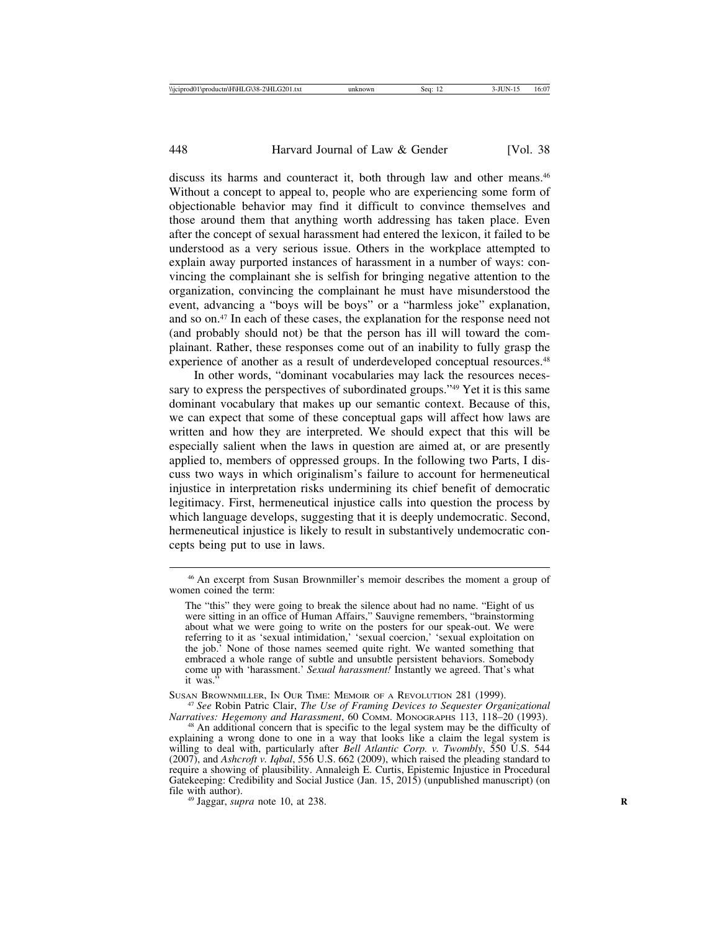discuss its harms and counteract it, both through law and other means.<sup>46</sup> Without a concept to appeal to, people who are experiencing some form of objectionable behavior may find it difficult to convince themselves and those around them that anything worth addressing has taken place. Even after the concept of sexual harassment had entered the lexicon, it failed to be understood as a very serious issue. Others in the workplace attempted to explain away purported instances of harassment in a number of ways: convincing the complainant she is selfish for bringing negative attention to the organization, convincing the complainant he must have misunderstood the event, advancing a "boys will be boys" or a "harmless joke" explanation, and so on.47 In each of these cases, the explanation for the response need not (and probably should not) be that the person has ill will toward the complainant. Rather, these responses come out of an inability to fully grasp the experience of another as a result of underdeveloped conceptual resources.<sup>48</sup>

In other words, "dominant vocabularies may lack the resources necessary to express the perspectives of subordinated groups."<sup>49</sup> Yet it is this same dominant vocabulary that makes up our semantic context. Because of this, we can expect that some of these conceptual gaps will affect how laws are written and how they are interpreted. We should expect that this will be especially salient when the laws in question are aimed at, or are presently applied to, members of oppressed groups. In the following two Parts, I discuss two ways in which originalism's failure to account for hermeneutical injustice in interpretation risks undermining its chief benefit of democratic legitimacy. First, hermeneutical injustice calls into question the process by which language develops, suggesting that it is deeply undemocratic. Second, hermeneutical injustice is likely to result in substantively undemocratic concepts being put to use in laws.

SUSAN BROWNMILLER, IN OUR TIME: MEMOIR OF A REVOLUTION 281 (1999). <sup>47</sup> *See* Robin Patric Clair, *The Use of Framing Devices to Sequester Organizational Narratives: Hegemony and Harassment*, 60 COMM. MONOGRAPHS 113, 118–20 (1993). <sup>48</sup> An additional concern that is specific to the legal system may be the difficulty of

 $49$  Jaggar, *supra* note 10, at 238.

<sup>46</sup> An excerpt from Susan Brownmiller's memoir describes the moment a group of women coined the term:

The "this" they were going to break the silence about had no name. "Eight of us were sitting in an office of Human Affairs," Sauvigne remembers, "brainstorming about what we were going to write on the posters for our speak-out. We were referring to it as 'sexual intimidation,' 'sexual coercion,' 'sexual exploitation on the job.' None of those names seemed quite right. We wanted something that embraced a whole range of subtle and unsubtle persistent behaviors. Somebody come up with 'harassment.' *Sexual harassment!* Instantly we agreed. That's what it was.

<sup>&</sup>lt;sup>48</sup> An additional concern that is specific to the legal system may be the difficulty of explaining a wrong done to one in a way that looks like a claim the legal system is willing to deal with, particularly after *Bell Atlantic Corp. v. Twombly*, 550 U.S. 544 (2007), and *Ashcroft v. Iqbal*, 556 U.S. 662 (2009), which raised the pleading standard to require a showing of plausibility. Annaleigh E. Curtis, Epistemic Injustice in Procedural Gatekeeping: Credibility and Social Justice (Jan. 15, 2015) (unpublished manuscript) (on file with author).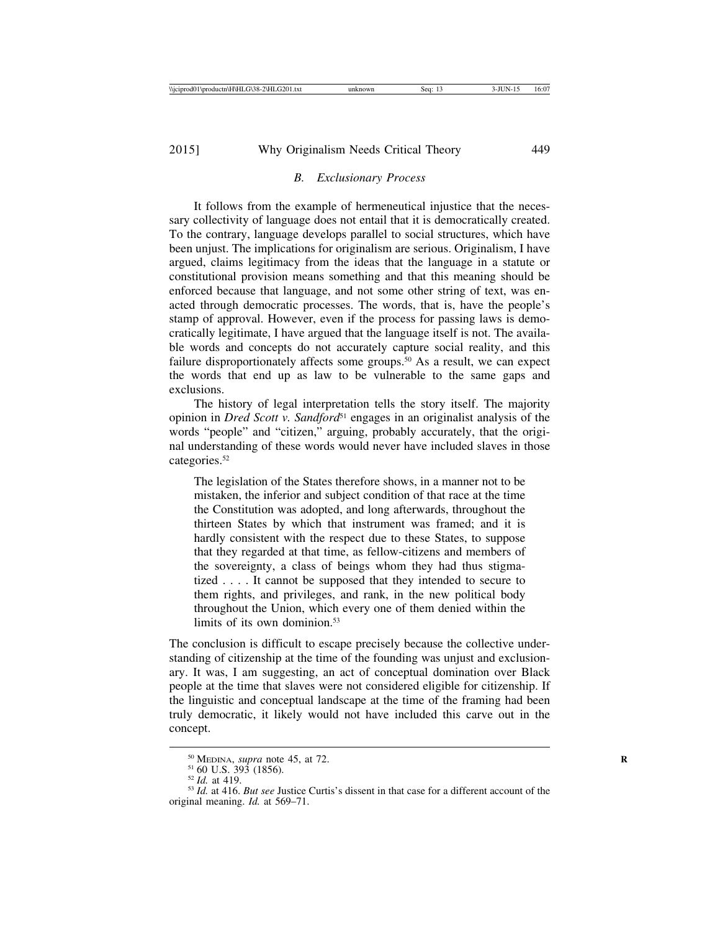#### *B. Exclusionary Process*

It follows from the example of hermeneutical injustice that the necessary collectivity of language does not entail that it is democratically created. To the contrary, language develops parallel to social structures, which have been unjust. The implications for originalism are serious. Originalism, I have argued, claims legitimacy from the ideas that the language in a statute or constitutional provision means something and that this meaning should be enforced because that language, and not some other string of text, was enacted through democratic processes. The words, that is, have the people's stamp of approval. However, even if the process for passing laws is democratically legitimate, I have argued that the language itself is not. The available words and concepts do not accurately capture social reality, and this failure disproportionately affects some groups.<sup>50</sup> As a result, we can expect the words that end up as law to be vulnerable to the same gaps and exclusions.

The history of legal interpretation tells the story itself. The majority opinion in *Dred Scott v. Sandford*<sup>51</sup> engages in an originalist analysis of the words "people" and "citizen," arguing, probably accurately, that the original understanding of these words would never have included slaves in those categories.52

The legislation of the States therefore shows, in a manner not to be mistaken, the inferior and subject condition of that race at the time the Constitution was adopted, and long afterwards, throughout the thirteen States by which that instrument was framed; and it is hardly consistent with the respect due to these States, to suppose that they regarded at that time, as fellow-citizens and members of the sovereignty, a class of beings whom they had thus stigmatized . . . . It cannot be supposed that they intended to secure to them rights, and privileges, and rank, in the new political body throughout the Union, which every one of them denied within the limits of its own dominion.<sup>53</sup>

The conclusion is difficult to escape precisely because the collective understanding of citizenship at the time of the founding was unjust and exclusionary. It was, I am suggesting, an act of conceptual domination over Black people at the time that slaves were not considered eligible for citizenship. If the linguistic and conceptual landscape at the time of the framing had been truly democratic, it likely would not have included this carve out in the concept.

<sup>&</sup>lt;sup>50</sup> MEDINA, *supra* note 45, at 72.<br><sup>51</sup> 60 U.S. 393 (1856).<br><sup>52</sup> *Id.* at 419.<br><sup>53</sup> *Id.* at 416. *But see* Justice Curtis's dissent in that case for a different account of the original meaning. *Id.* at 569–71.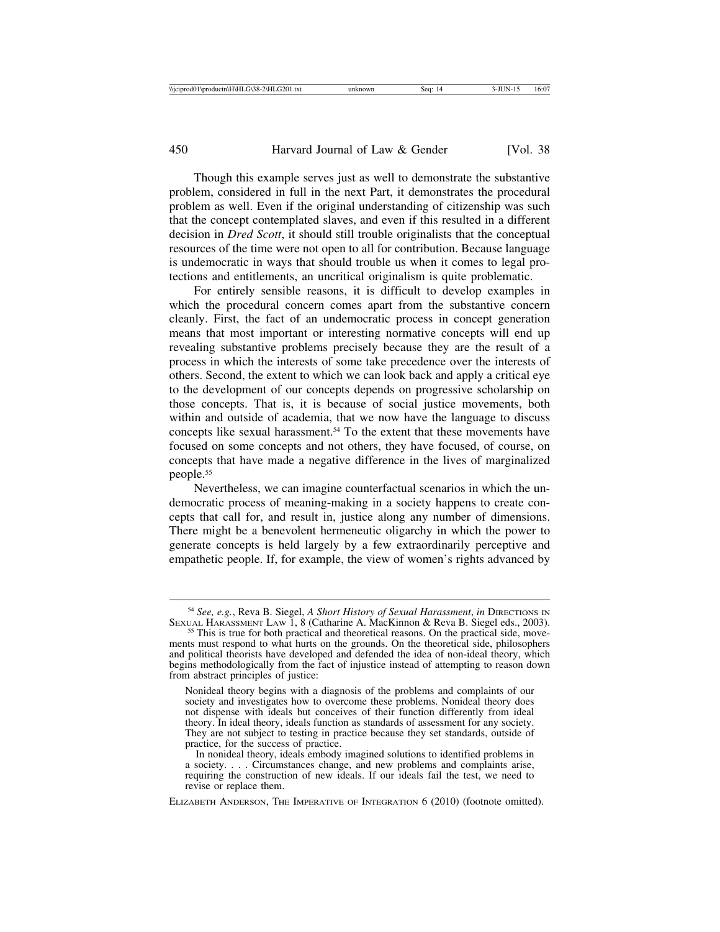Though this example serves just as well to demonstrate the substantive problem, considered in full in the next Part, it demonstrates the procedural problem as well. Even if the original understanding of citizenship was such that the concept contemplated slaves, and even if this resulted in a different decision in *Dred Scott*, it should still trouble originalists that the conceptual resources of the time were not open to all for contribution. Because language is undemocratic in ways that should trouble us when it comes to legal protections and entitlements, an uncritical originalism is quite problematic.

For entirely sensible reasons, it is difficult to develop examples in which the procedural concern comes apart from the substantive concern cleanly. First, the fact of an undemocratic process in concept generation means that most important or interesting normative concepts will end up revealing substantive problems precisely because they are the result of a process in which the interests of some take precedence over the interests of others. Second, the extent to which we can look back and apply a critical eye to the development of our concepts depends on progressive scholarship on those concepts. That is, it is because of social justice movements, both within and outside of academia, that we now have the language to discuss concepts like sexual harassment.<sup>54</sup> To the extent that these movements have focused on some concepts and not others, they have focused, of course, on concepts that have made a negative difference in the lives of marginalized people.55

Nevertheless, we can imagine counterfactual scenarios in which the undemocratic process of meaning-making in a society happens to create concepts that call for, and result in, justice along any number of dimensions. There might be a benevolent hermeneutic oligarchy in which the power to generate concepts is held largely by a few extraordinarily perceptive and empathetic people. If, for example, the view of women's rights advanced by

ELIZABETH ANDERSON, THE IMPERATIVE OF INTEGRATION 6 (2010) (footnote omitted).

<sup>&</sup>lt;sup>54</sup> *See, e.g.*, Reva B. Siegel, *A Short History of Sexual Harassment*, *in* DIRECTIONS IN SEXUAL HARASSMENT LAW 1, 8 (Catharine A. MacKinnon & Reva B. Siegel eds., 2003).

<sup>&</sup>lt;sup>55</sup> This is true for both practical and theoretical reasons. On the practical side, movements must respond to what hurts on the grounds. On the theoretical side, philosophers and political theorists have developed and defended the idea of non-ideal theory, which begins methodologically from the fact of injustice instead of attempting to reason down from abstract principles of justice:

Nonideal theory begins with a diagnosis of the problems and complaints of our society and investigates how to overcome these problems. Nonideal theory does not dispense with ideals but conceives of their function differently from ideal theory. In ideal theory, ideals function as standards of assessment for any society. They are not subject to testing in practice because they set standards, outside of practice, for the success of practice.

In nonideal theory, ideals embody imagined solutions to identified problems in a society. . . . Circumstances change, and new problems and complaints arise, requiring the construction of new ideals. If our ideals fail the test, we need to revise or replace them.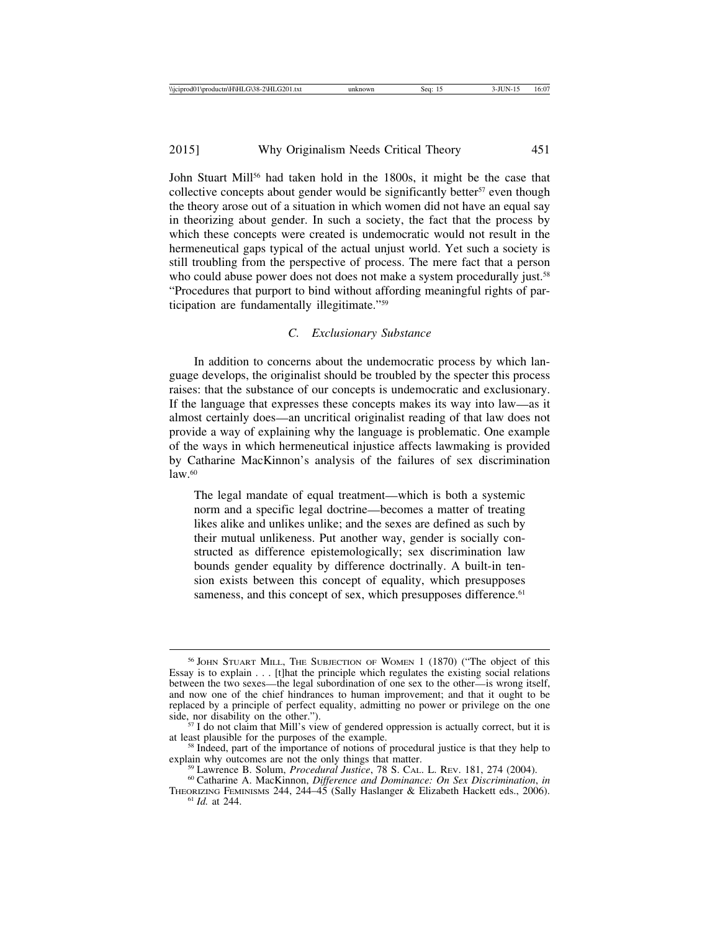John Stuart Mill56 had taken hold in the 1800s, it might be the case that collective concepts about gender would be significantly better<sup>57</sup> even though the theory arose out of a situation in which women did not have an equal say in theorizing about gender. In such a society, the fact that the process by which these concepts were created is undemocratic would not result in the hermeneutical gaps typical of the actual unjust world. Yet such a society is still troubling from the perspective of process. The mere fact that a person who could abuse power does not does not make a system procedurally just.<sup>58</sup> "Procedures that purport to bind without affording meaningful rights of participation are fundamentally illegitimate."59

# *C. Exclusionary Substance*

In addition to concerns about the undemocratic process by which language develops, the originalist should be troubled by the specter this process raises: that the substance of our concepts is undemocratic and exclusionary. If the language that expresses these concepts makes its way into law—as it almost certainly does—an uncritical originalist reading of that law does not provide a way of explaining why the language is problematic. One example of the ways in which hermeneutical injustice affects lawmaking is provided by Catharine MacKinnon's analysis of the failures of sex discrimination  $law<sub>.60</sub>$ 

The legal mandate of equal treatment—which is both a systemic norm and a specific legal doctrine—becomes a matter of treating likes alike and unlikes unlike; and the sexes are defined as such by their mutual unlikeness. Put another way, gender is socially constructed as difference epistemologically; sex discrimination law bounds gender equality by difference doctrinally. A built-in tension exists between this concept of equality, which presupposes sameness, and this concept of sex, which presupposes difference.<sup>61</sup>

<sup>56</sup> JOHN STUART MILL, THE SUBJECTION OF WOMEN 1 (1870) ("The object of this Essay is to explain . . . [t]hat the principle which regulates the existing social relations between the two sexes—the legal subordination of one sex to the other—is wrong itself, and now one of the chief hindrances to human improvement; and that it ought to be replaced by a principle of perfect equality, admitting no power or privilege on the one side, nor disability on the other.").

 $57$  I do not claim that Mill's view of gendered oppression is actually correct, but it is at least plausible for the purposes of the example.

<sup>&</sup>lt;sup>58</sup> Indeed, part of the importance of notions of procedural justice is that they help to explain why outcomes are not the only things that matter.

<sup>&</sup>lt;sup>59</sup> Lawrence B. Solum, *Procedural Justice*, 78 S. CAL. L. REV. 181, 274 (2004).<br><sup>60</sup> Catharine A. MacKinnon, *Difference and Dominance: On Sex Discrimination*, *in* 

THEORIZING FEMINISMS 244, 244–45 (Sally Haslanger & Elizabeth Hackett eds., 2006). <sup>61</sup> *Id.* at 244.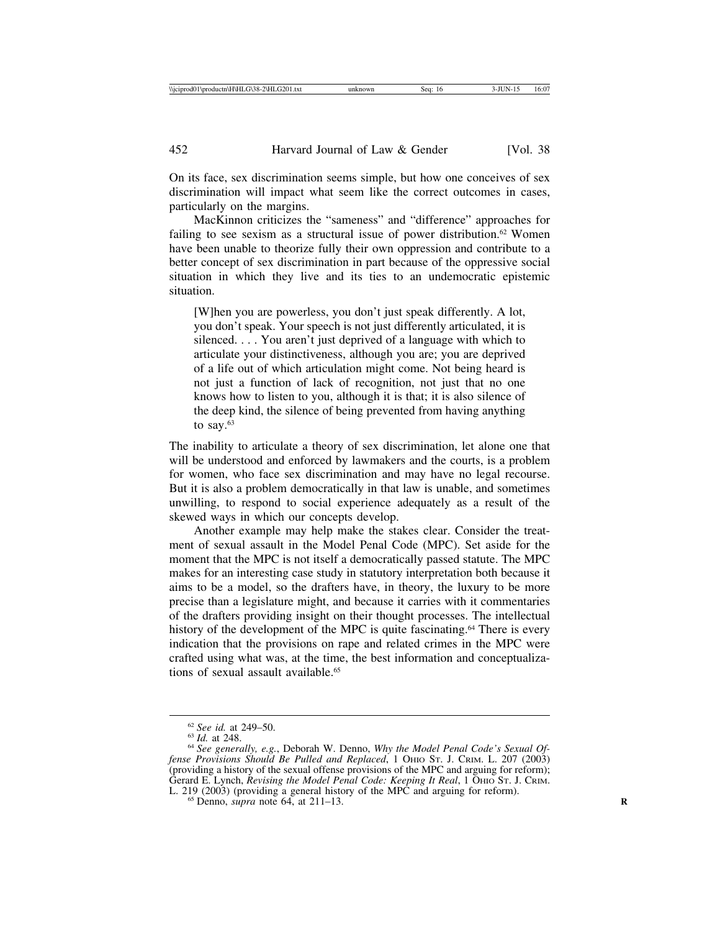On its face, sex discrimination seems simple, but how one conceives of sex discrimination will impact what seem like the correct outcomes in cases, particularly on the margins.

MacKinnon criticizes the "sameness" and "difference" approaches for failing to see sexism as a structural issue of power distribution.<sup>62</sup> Women have been unable to theorize fully their own oppression and contribute to a better concept of sex discrimination in part because of the oppressive social situation in which they live and its ties to an undemocratic epistemic situation.

[W]hen you are powerless, you don't just speak differently. A lot, you don't speak. Your speech is not just differently articulated, it is silenced. . . . You aren't just deprived of a language with which to articulate your distinctiveness, although you are; you are deprived of a life out of which articulation might come. Not being heard is not just a function of lack of recognition, not just that no one knows how to listen to you, although it is that; it is also silence of the deep kind, the silence of being prevented from having anything to say. $63$ 

The inability to articulate a theory of sex discrimination, let alone one that will be understood and enforced by lawmakers and the courts, is a problem for women, who face sex discrimination and may have no legal recourse. But it is also a problem democratically in that law is unable, and sometimes unwilling, to respond to social experience adequately as a result of the skewed ways in which our concepts develop.

Another example may help make the stakes clear. Consider the treatment of sexual assault in the Model Penal Code (MPC). Set aside for the moment that the MPC is not itself a democratically passed statute. The MPC makes for an interesting case study in statutory interpretation both because it aims to be a model, so the drafters have, in theory, the luxury to be more precise than a legislature might, and because it carries with it commentaries of the drafters providing insight on their thought processes. The intellectual history of the development of the MPC is quite fascinating.<sup>64</sup> There is every indication that the provisions on rape and related crimes in the MPC were crafted using what was, at the time, the best information and conceptualizations of sexual assault available.<sup>65</sup>

<sup>&</sup>lt;sup>62</sup> See id. at 249–50.<br><sup>63</sup> Id. at 248.<br><sup>64</sup> See generally, e.g., Deborah W. Denno, *Why the Model Penal Code's Sexual Offense Provisions Should Be Pulled and Replaced*, 1 OHIO ST. J. CRIM. L. 207 (2003) (providing a history of the sexual offense provisions of the MPC and arguing for reform); Gerard E. Lynch, *Revising the Model Penal Code: Keeping It Real*, 1 OHIO ST. J. CRIM. L. 219 (2003) (providing a general history of the MPC and arguing for reform). <sup>65</sup> Denno, *supra* note 64, at 211–13.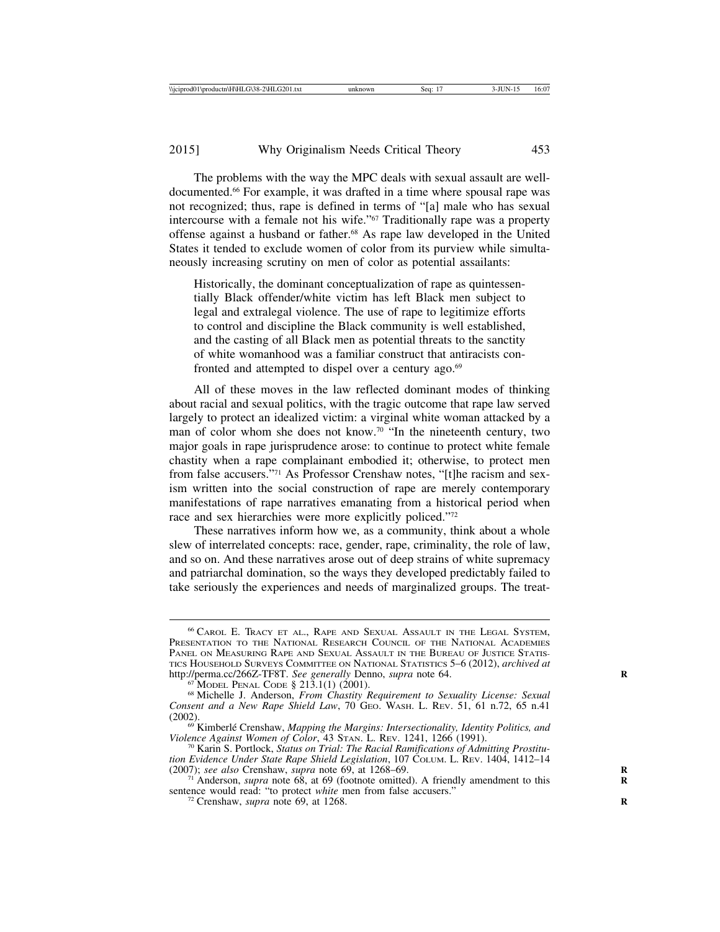The problems with the way the MPC deals with sexual assault are welldocumented.66 For example, it was drafted in a time where spousal rape was not recognized; thus, rape is defined in terms of "[a] male who has sexual intercourse with a female not his wife."67 Traditionally rape was a property offense against a husband or father.68 As rape law developed in the United States it tended to exclude women of color from its purview while simultaneously increasing scrutiny on men of color as potential assailants:

Historically, the dominant conceptualization of rape as quintessentially Black offender/white victim has left Black men subject to legal and extralegal violence. The use of rape to legitimize efforts to control and discipline the Black community is well established, and the casting of all Black men as potential threats to the sanctity of white womanhood was a familiar construct that antiracists confronted and attempted to dispel over a century ago.<sup>69</sup>

All of these moves in the law reflected dominant modes of thinking about racial and sexual politics, with the tragic outcome that rape law served largely to protect an idealized victim: a virginal white woman attacked by a man of color whom she does not know.70 "In the nineteenth century, two major goals in rape jurisprudence arose: to continue to protect white female chastity when a rape complainant embodied it; otherwise, to protect men from false accusers."71 As Professor Crenshaw notes, "[t]he racism and sexism written into the social construction of rape are merely contemporary manifestations of rape narratives emanating from a historical period when race and sex hierarchies were more explicitly policed."72

These narratives inform how we, as a community, think about a whole slew of interrelated concepts: race, gender, rape, criminality, the role of law, and so on. And these narratives arose out of deep strains of white supremacy and patriarchal domination, so the ways they developed predictably failed to take seriously the experiences and needs of marginalized groups. The treat-

<sup>66</sup> CAROL E. TRACY ET AL., RAPE AND SEXUAL ASSAULT IN THE LEGAL SYSTEM, PRESENTATION TO THE NATIONAL RESEARCH COUNCIL OF THE NATIONAL ACADEMIES PANEL ON MEASURING RAPE AND SEXUAL ASSAULT IN THE BUREAU OF JUSTICE STATIS-TICS HOUSEHOLD SURVEYS COMMITTEE ON NATIONAL STATISTICS 5–6 (2012), *archived at*

<sup>&</sup>lt;sup>67</sup> MODEL PENAL CODE § 213.1(1) (2001). <br><sup>68</sup> Michelle J. Anderson, *From Chastity Requirement to Sexuality License: Sexual Consent and a New Rape Shield Law*, 70 GEO. WASH. L. REV. 51, 61 n.72, 65 n.41 (2002).

<sup>&</sup>lt;sup>69</sup> Kimberlé Crenshaw, *Mapping the Margins: Intersectionality, Identity Politics, and Violence Against Women of Color, 43 STAN. L. REV. 1241, 1266 (1991).* 

<sup>&</sup>lt;sup>70</sup> Karin S. Portlock, *Status on Trial: The Racial Ramifications of Admitting Prostitution Evidence Under State Rape Shield Legislation*, 107 COLUM. L. REV. 1404, 1412–14 (2007); *see also* Crenshaw, *supra* note 69, at 1268–69.

 $71$ <sup>21</sup> Anderson, *supra* note 68, at 69 (footnote omitted). A friendly amendment to this sentence would read: "to protect *white* men from false accusers."<br><sup>72</sup> Crenshaw, *supra* note 69, at 1268.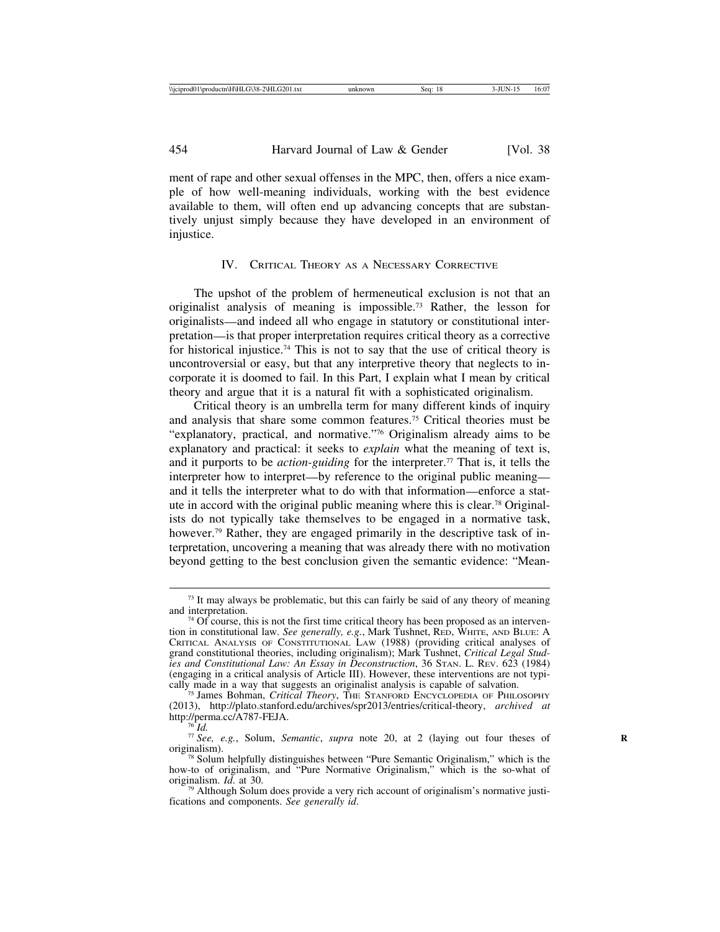ment of rape and other sexual offenses in the MPC, then, offers a nice example of how well-meaning individuals, working with the best evidence available to them, will often end up advancing concepts that are substantively unjust simply because they have developed in an environment of injustice.

# IV. CRITICAL THEORY AS A NECESSARY CORRECTIVE

The upshot of the problem of hermeneutical exclusion is not that an originalist analysis of meaning is impossible.73 Rather, the lesson for originalists—and indeed all who engage in statutory or constitutional interpretation—is that proper interpretation requires critical theory as a corrective for historical injustice.74 This is not to say that the use of critical theory is uncontroversial or easy, but that any interpretive theory that neglects to incorporate it is doomed to fail. In this Part, I explain what I mean by critical theory and argue that it is a natural fit with a sophisticated originalism.

Critical theory is an umbrella term for many different kinds of inquiry and analysis that share some common features.75 Critical theories must be "explanatory, practical, and normative."76 Originalism already aims to be explanatory and practical: it seeks to *explain* what the meaning of text is, and it purports to be *action-guiding* for the interpreter.77 That is, it tells the interpreter how to interpret—by reference to the original public meaning and it tells the interpreter what to do with that information—enforce a statute in accord with the original public meaning where this is clear.78 Originalists do not typically take themselves to be engaged in a normative task, however.<sup>79</sup> Rather, they are engaged primarily in the descriptive task of interpretation, uncovering a meaning that was already there with no motivation beyond getting to the best conclusion given the semantic evidence: "Mean-

<sup>&</sup>lt;sup>73</sup> It may always be problematic, but this can fairly be said of any theory of meaning and interpretation.<br><sup>74</sup> Of course, this is not the first time critical theory has been proposed as an interven-

tion in constitutional law. *See generally, e.g.*, Mark Tushnet, RED, WHITE, AND BLUE: A CRITICAL ANALYSIS OF CONSTITUTIONAL LAW (1988) (providing critical analyses of grand constitutional theories, including originalism); Mark Tushnet, *Critical Legal Studies and Constitutional Law: An Essay in Deconstruction*, 36 STAN. L. REV. 623 (1984) (engaging in a critical analysis of Article III). However, these interventions are not typically made in a way that suggests an originalist analysis is capable of salvation. <sup>75</sup> James Bohman, *Critical Theory*, THE STANFORD ENCYCLOPEDIA OF PHILOSOPHY

<sup>(2013),</sup> http://plato.stanford.edu/archives/spr2013/entries/critical-theory, *archived at*

<sup>&</sup>lt;sup>76</sup>*Id.* <sup>7</sup>*See, e.g.*, Solum, *Semantic, supra* note 20, at 2 (laying out four theses of <sup>77</sup> *See, e.g.*, Solum, *Semantic, supra* note 20, at 2 (laying out four theses of originalism).<br><sup>78</sup> Solum helpfully distinguishes between "Pure Semantic Originalism," which is the

how-to of originalism, and "Pure Normative Originalism," which is the so-what of originalism. *Id.* at 30.

<sup>&</sup>lt;sup>79</sup> Although Solum does provide a very rich account of originalism's normative justifications and components. *See generally id*.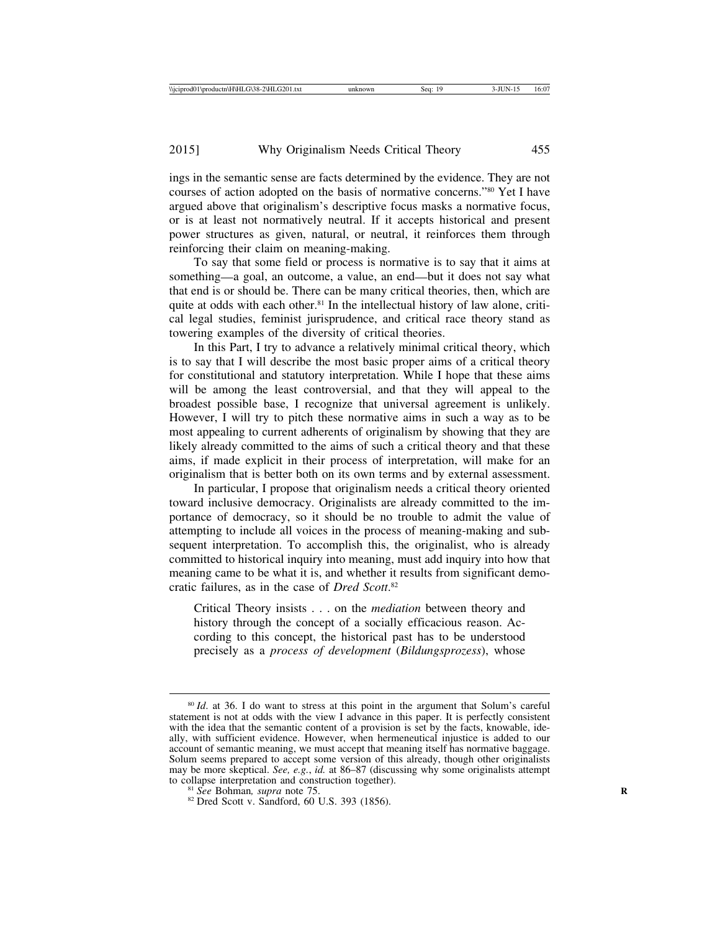ings in the semantic sense are facts determined by the evidence. They are not courses of action adopted on the basis of normative concerns."80 Yet I have argued above that originalism's descriptive focus masks a normative focus, or is at least not normatively neutral. If it accepts historical and present power structures as given, natural, or neutral, it reinforces them through reinforcing their claim on meaning-making.

To say that some field or process is normative is to say that it aims at something—a goal, an outcome, a value, an end—but it does not say what that end is or should be. There can be many critical theories, then, which are quite at odds with each other.<sup>81</sup> In the intellectual history of law alone, critical legal studies, feminist jurisprudence, and critical race theory stand as towering examples of the diversity of critical theories.

In this Part, I try to advance a relatively minimal critical theory, which is to say that I will describe the most basic proper aims of a critical theory for constitutional and statutory interpretation. While I hope that these aims will be among the least controversial, and that they will appeal to the broadest possible base, I recognize that universal agreement is unlikely. However, I will try to pitch these normative aims in such a way as to be most appealing to current adherents of originalism by showing that they are likely already committed to the aims of such a critical theory and that these aims, if made explicit in their process of interpretation, will make for an originalism that is better both on its own terms and by external assessment.

In particular, I propose that originalism needs a critical theory oriented toward inclusive democracy. Originalists are already committed to the importance of democracy, so it should be no trouble to admit the value of attempting to include all voices in the process of meaning-making and subsequent interpretation. To accomplish this, the originalist, who is already committed to historical inquiry into meaning, must add inquiry into how that meaning came to be what it is, and whether it results from significant democratic failures, as in the case of *Dred Scott*. 82

Critical Theory insists . . . on the *mediation* between theory and history through the concept of a socially efficacious reason. According to this concept, the historical past has to be understood precisely as a *process of development* (*Bildungsprozess*), whose

<sup>80</sup> *Id*. at 36. I do want to stress at this point in the argument that Solum's careful statement is not at odds with the view I advance in this paper. It is perfectly consistent with the idea that the semantic content of a provision is set by the facts, knowable, ideally, with sufficient evidence. However, when hermeneutical injustice is added to our account of semantic meaning, we must accept that meaning itself has normative baggage. Solum seems prepared to accept some version of this already, though other originalists may be more skeptical. *See, e.g., id.* at 86–87 (discussing why some originalists attempt to collapse interpretation and construction together).

<sup>&</sup>lt;sup>81</sup> *See* Bohman, *supra* note 75. **R** 82 Dred Scott v. Sandford, 60 U.S. 393 (1856).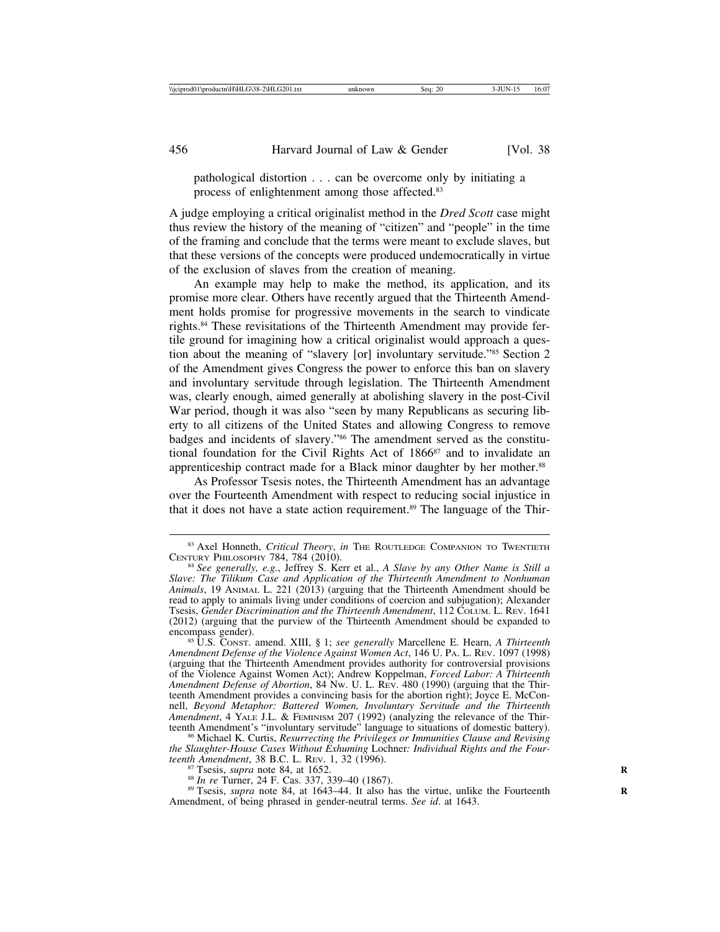pathological distortion . . . can be overcome only by initiating a process of enlightenment among those affected.83

A judge employing a critical originalist method in the *Dred Scott* case might thus review the history of the meaning of "citizen" and "people" in the time of the framing and conclude that the terms were meant to exclude slaves, but that these versions of the concepts were produced undemocratically in virtue of the exclusion of slaves from the creation of meaning.

An example may help to make the method, its application, and its promise more clear. Others have recently argued that the Thirteenth Amendment holds promise for progressive movements in the search to vindicate rights.84 These revisitations of the Thirteenth Amendment may provide fertile ground for imagining how a critical originalist would approach a question about the meaning of "slavery [or] involuntary servitude."85 Section 2 of the Amendment gives Congress the power to enforce this ban on slavery and involuntary servitude through legislation. The Thirteenth Amendment was, clearly enough, aimed generally at abolishing slavery in the post-Civil War period, though it was also "seen by many Republicans as securing liberty to all citizens of the United States and allowing Congress to remove badges and incidents of slavery."86 The amendment served as the constitutional foundation for the Civil Rights Act of 1866<sup>87</sup> and to invalidate an apprenticeship contract made for a Black minor daughter by her mother.<sup>88</sup>

As Professor Tsesis notes, the Thirteenth Amendment has an advantage over the Fourteenth Amendment with respect to reducing social injustice in that it does not have a state action requirement.89 The language of the Thir-

<sup>&</sup>lt;sup>83</sup> Axel Honneth, *Critical Theory*, *in* The ROUTLEDGE COMPANION TO TWENTIETH CENTURY PHILOSOPHY 784, 784 (2010).

<sup>&</sup>lt;sup>84</sup> See generally, e.g., Jeffrey S. Kerr et al., *A Slave by any Other Name is Still a Slave: The Tilikum Case and Application of the Thirteenth Amendment to Nonhuman Animals*, 19 ANIMAL L. 221 (2013) (arguing that the Thirteenth Amendment should be read to apply to animals living under conditions of coercion and subjugation); Alexander Tsesis, *Gender Discrimination and the Thirteenth Amendment*, 112 COLUM. L. REV. 1641 (2012) (arguing that the purview of the Thirteenth Amendment should be expanded to

<sup>&</sup>lt;sup>85</sup> U.S. CONST. amend. XIII, § 1; *see generally* Marcellene E. Hearn, *A Thirteenth Amendment Defense of the Violence Against Women Act*, 146 U. PA. L. REV. 1097 (1998) (arguing that the Thirteenth Amendment provides authority for controversial provisions of the Violence Against Women Act); Andrew Koppelman, *Forced Labor: A Thirteenth Amendment Defense of Abortion*, 84 NW. U. L. REV. 480 (1990) (arguing that the Thirteenth Amendment provides a convincing basis for the abortion right); Joyce E. McConnell, *Beyond Metaphor: Battered Women, Involuntary Servitude and the Thirteenth Amendment*, 4 YALE J.L. & FEMINISM 207 (1992) (analyzing the relevance of the Thirteenth Amendment's "involuntary servitude" language to situations of domestic battery).

<sup>&</sup>lt;sup>86</sup> Michael K. Curtis, *Resurrecting the Privileges or Immunities Clause and Revising the Slaughter-House Cases Without Exhuming* Lochner*: Individual Rights and the Four-*

<sup>&</sup>lt;sup>87</sup> Tsesis, *supra* note 84, at 1652.<br><sup>88</sup> *In re* Turner, 24 F. Cas. 337, 339–40 (1867).<br><sup>89</sup> Tsesis, *supra* note 84, at 1643–44. It also has the virtue, unlike the Fourteenth Amendment, of being phrased in gender-neutral terms. *See id*. at 1643.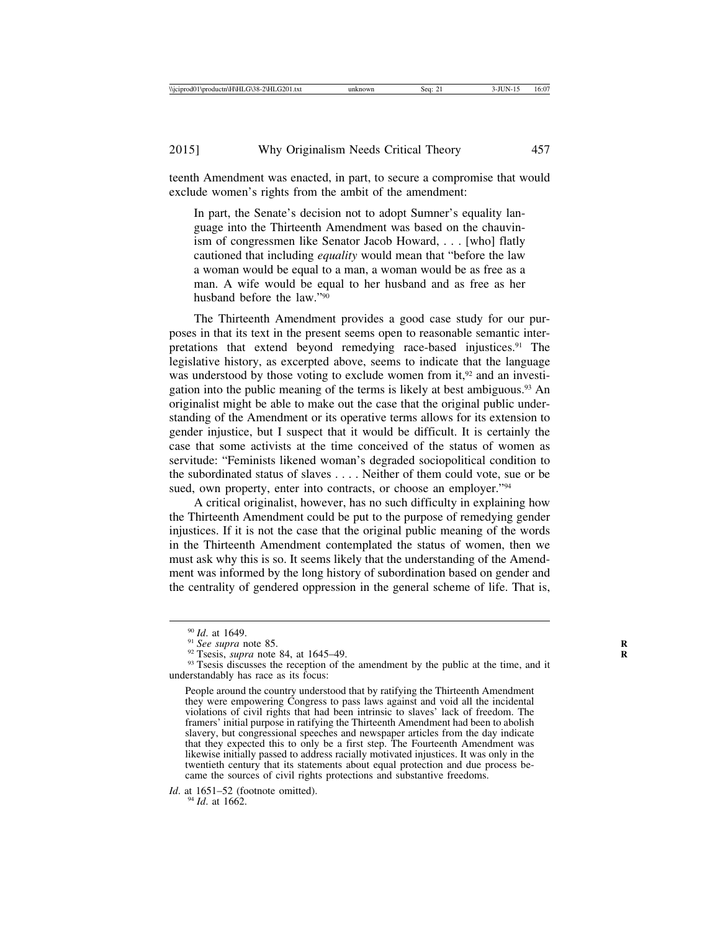teenth Amendment was enacted, in part, to secure a compromise that would exclude women's rights from the ambit of the amendment:

In part, the Senate's decision not to adopt Sumner's equality language into the Thirteenth Amendment was based on the chauvinism of congressmen like Senator Jacob Howard, . . . [who] flatly cautioned that including *equality* would mean that "before the law a woman would be equal to a man, a woman would be as free as a man. A wife would be equal to her husband and as free as her husband before the law."90

The Thirteenth Amendment provides a good case study for our purposes in that its text in the present seems open to reasonable semantic interpretations that extend beyond remedying race-based injustices.91 The legislative history, as excerpted above, seems to indicate that the language was understood by those voting to exclude women from it, $92$  and an investigation into the public meaning of the terms is likely at best ambiguous.93 An originalist might be able to make out the case that the original public understanding of the Amendment or its operative terms allows for its extension to gender injustice, but I suspect that it would be difficult. It is certainly the case that some activists at the time conceived of the status of women as servitude: "Feminists likened woman's degraded sociopolitical condition to the subordinated status of slaves . . . . Neither of them could vote, sue or be sued, own property, enter into contracts, or choose an employer."<sup>94</sup>

A critical originalist, however, has no such difficulty in explaining how the Thirteenth Amendment could be put to the purpose of remedying gender injustices. If it is not the case that the original public meaning of the words in the Thirteenth Amendment contemplated the status of women, then we must ask why this is so. It seems likely that the understanding of the Amendment was informed by the long history of subordination based on gender and the centrality of gendered oppression in the general scheme of life. That is,

<sup>&</sup>lt;sup>91</sup> *Id.* at 1649.<br><sup>91</sup> *See supra* note 85.<br><sup>92</sup> Tsesis, *supra* note 84, at 1645–49.<br><sup>93</sup> Tsesis discusses the reception of the amendment by the public at the time, and it understandably has race as its focus:

People around the country understood that by ratifying the Thirteenth Amendment they were empowering Congress to pass laws against and void all the incidental violations of civil rights that had been intrinsic to slaves' lack of freedom. The framers' initial purpose in ratifying the Thirteenth Amendment had been to abolish slavery, but congressional speeches and newspaper articles from the day indicate that they expected this to only be a first step. The Fourteenth Amendment was likewise initially passed to address racially motivated injustices. It was only in the twentieth century that its statements about equal protection and due process became the sources of civil rights protections and substantive freedoms.

*Id.* at 1651–52 (footnote omitted).<br><sup>94</sup> *Id.* at 1662.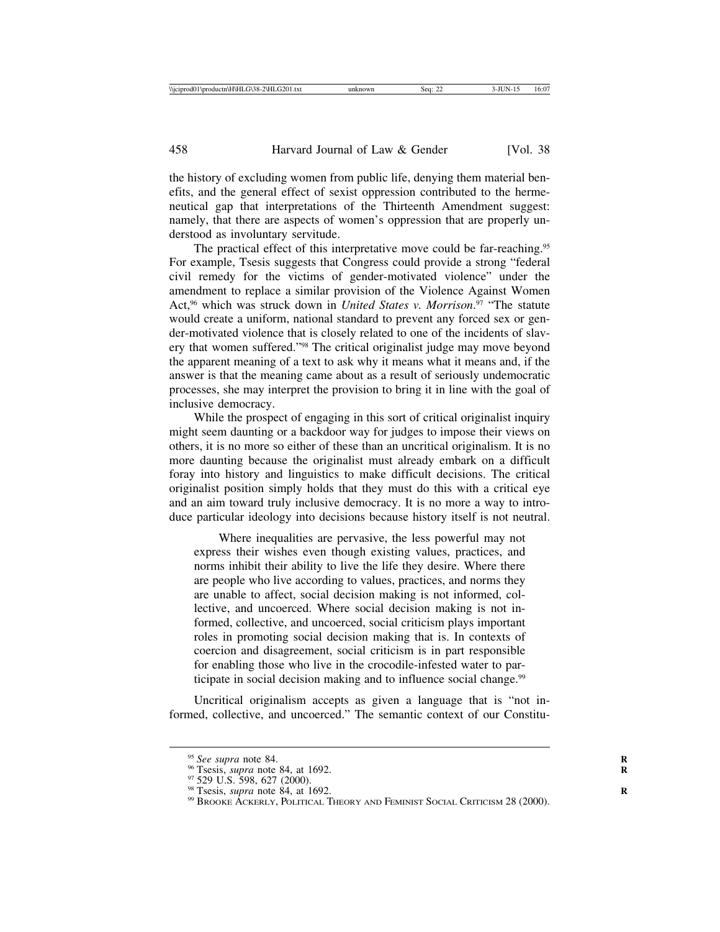the history of excluding women from public life, denying them material benefits, and the general effect of sexist oppression contributed to the hermeneutical gap that interpretations of the Thirteenth Amendment suggest: namely, that there are aspects of women's oppression that are properly understood as involuntary servitude.

The practical effect of this interpretative move could be far-reaching.<sup>95</sup> For example, Tsesis suggests that Congress could provide a strong "federal civil remedy for the victims of gender-motivated violence" under the amendment to replace a similar provision of the Violence Against Women Act,96 which was struck down in *United States v. Morrison*. 97 "The statute would create a uniform, national standard to prevent any forced sex or gender-motivated violence that is closely related to one of the incidents of slavery that women suffered."98 The critical originalist judge may move beyond the apparent meaning of a text to ask why it means what it means and, if the answer is that the meaning came about as a result of seriously undemocratic processes, she may interpret the provision to bring it in line with the goal of inclusive democracy.

While the prospect of engaging in this sort of critical originalist inquiry might seem daunting or a backdoor way for judges to impose their views on others, it is no more so either of these than an uncritical originalism. It is no more daunting because the originalist must already embark on a difficult foray into history and linguistics to make difficult decisions. The critical originalist position simply holds that they must do this with a critical eye and an aim toward truly inclusive democracy. It is no more a way to introduce particular ideology into decisions because history itself is not neutral.

Where inequalities are pervasive, the less powerful may not express their wishes even though existing values, practices, and norms inhibit their ability to live the life they desire. Where there are people who live according to values, practices, and norms they are unable to affect, social decision making is not informed, collective, and uncoerced. Where social decision making is not informed, collective, and uncoerced, social criticism plays important roles in promoting social decision making that is. In contexts of coercion and disagreement, social criticism is in part responsible for enabling those who live in the crocodile-infested water to participate in social decision making and to influence social change.<sup>99</sup>

Uncritical originalism accepts as given a language that is "not informed, collective, and uncoerced." The semantic context of our Constitu-

<sup>&</sup>lt;sup>95</sup> See supra note 84.<br>
<sup>96</sup> Tsesis, *supra* note 84, at 1692.<br>
<sup>97</sup> 529 U.S. 598, 627 (2000).<br>
<sup>98</sup> Tsesis, *supra* note 84, at 1692.<br>
<sup>99</sup> Brooke Ackerly, Political Theory and Feminist Social Criticism 28 (2000).